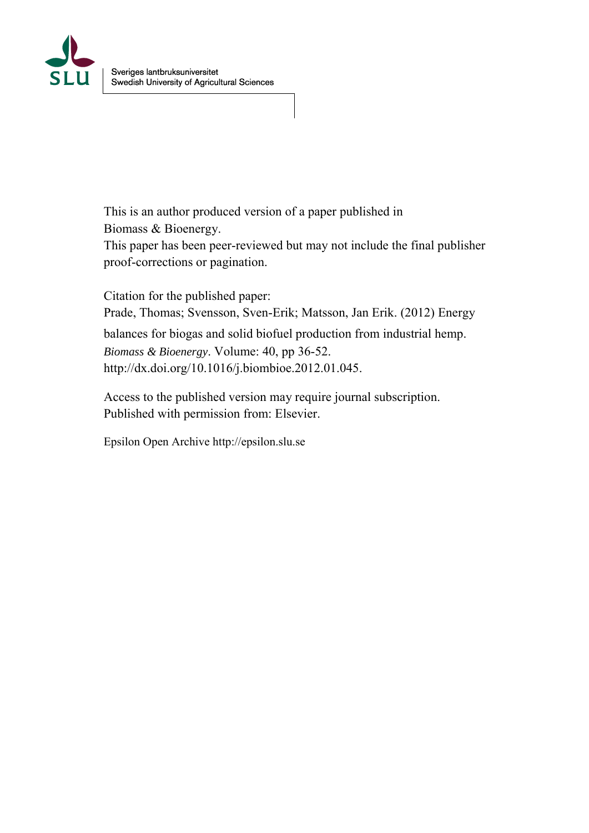

This is an author produced version of a paper published in Biomass & Bioenergy.

This paper has been peer-reviewed but may not include the final publisher proof-corrections or pagination.

Citation for the published paper: Prade, Thomas; Svensson, Sven-Erik; Matsson, Jan Erik. (2012) Energy balances for biogas and solid biofuel production from industrial hemp. *Biomass & Bioenergy*. Volume: 40, pp 36-52. http://dx.doi.org/10.1016/j.biombioe.2012.01.045.

Access to the published version may require journal subscription. Published with permission from: Elsevier.

Epsilon Open Archive http://epsilon.slu.se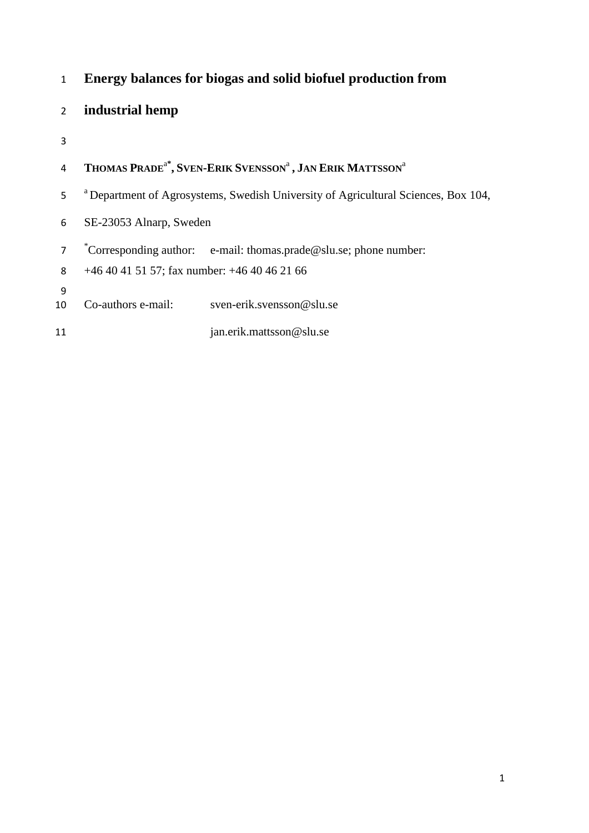# **Energy balances for biogas and solid biofuel production from**

# **industrial hemp**

#### **THOMAS PRADE**a**\* , SVEN-ERIK SVENSSON**<sup>a</sup> **, JAN ERIK MATTSSON**<sup>a</sup>

- <sup>a</sup> Department of Agrosystems, Swedish University of Agricultural Sciences, Box 104,
- SE-23053 Alnarp, Sweden
- \* Corresponding author: e-mail: thomas.prade@slu.se; phone number:
- +46 40 41 51 57; fax number: +46 40 46 21 66
- 
- Co-authors e-mail: sven-erik.svensson@slu.se
- 11 jan.erik.mattsson@slu.se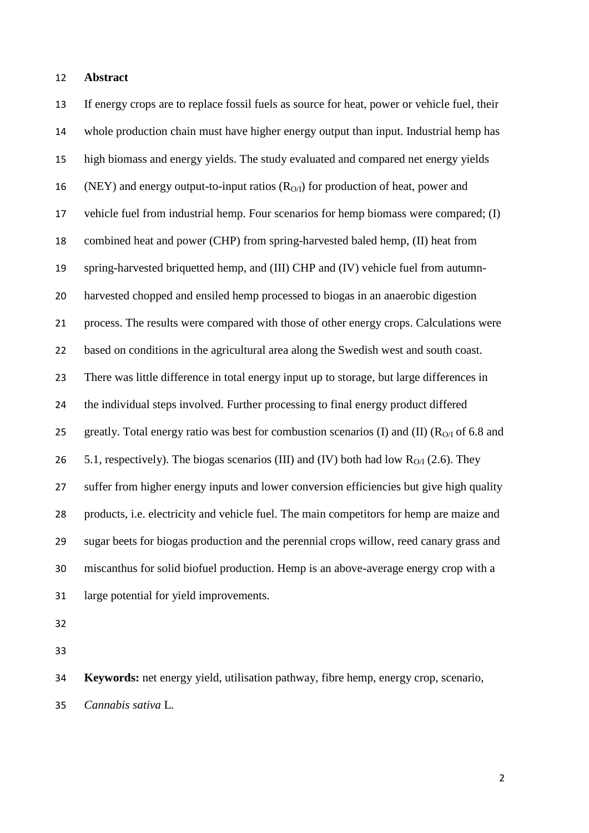#### **Abstract**

 If energy crops are to replace fossil fuels as source for heat, power or vehicle fuel, their whole production chain must have higher energy output than input. Industrial hemp has high biomass and energy yields. The study evaluated and compared net energy yields 16 (NEY) and energy output-to-input ratios  $(R<sub>O/I</sub>)$  for production of heat, power and vehicle fuel from industrial hemp. Four scenarios for hemp biomass were compared; (I) combined heat and power (CHP) from spring-harvested baled hemp, (II) heat from spring-harvested briquetted hemp, and (III) CHP and (IV) vehicle fuel from autumn- harvested chopped and ensiled hemp processed to biogas in an anaerobic digestion process. The results were compared with those of other energy crops. Calculations were based on conditions in the agricultural area along the Swedish west and south coast. There was little difference in total energy input up to storage, but large differences in the individual steps involved. Further processing to final energy product differed 25 greatly. Total energy ratio was best for combustion scenarios (I) and (II) ( $R_{O/I}$  of 6.8 and 26 5.1, respectively). The biogas scenarios (III) and (IV) both had low  $R_{O/I}$  (2.6). They suffer from higher energy inputs and lower conversion efficiencies but give high quality products, i.e. electricity and vehicle fuel. The main competitors for hemp are maize and sugar beets for biogas production and the perennial crops willow, reed canary grass and miscanthus for solid biofuel production. Hemp is an above-average energy crop with a large potential for yield improvements.

**Keywords:** net energy yield, utilisation pathway, fibre hemp, energy crop, scenario,

*Cannabis sativa* L.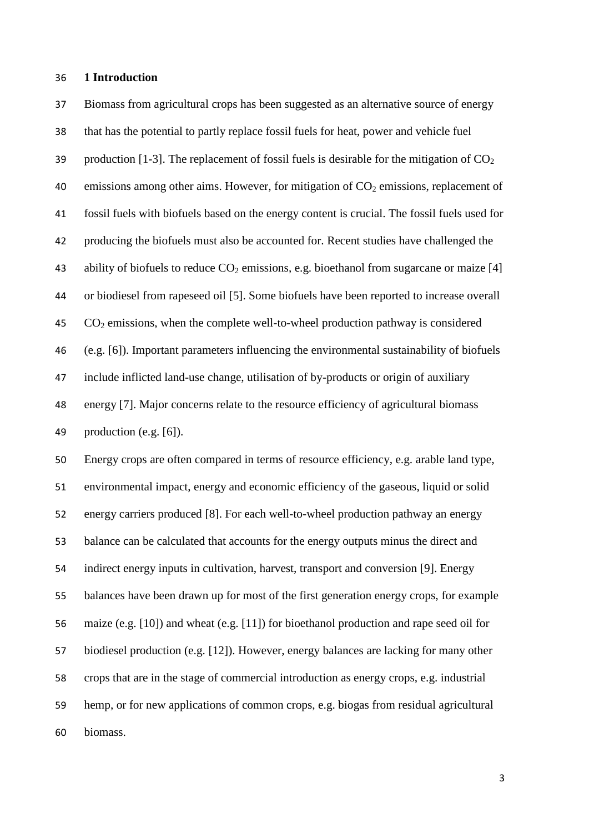#### **1 Introduction**

 Biomass from agricultural crops has been suggested as an alternative source of energy that has the potential to partly replace fossil fuels for heat, power and vehicle fuel 39 production [\[1-3\]](#page-29-0). The replacement of fossil fuels is desirable for the mitigation of  $CO<sub>2</sub>$ 40 emissions among other aims. However, for mitigation of  $CO<sub>2</sub>$  emissions, replacement of fossil fuels with biofuels based on the energy content is crucial. The fossil fuels used for producing the biofuels must also be accounted for. Recent studies have challenged the 43 ability of biofuels to reduce  $CO<sub>2</sub>$  emissions, e.g. bioethanol from sugarcane or maize [\[4\]](#page-29-1) or biodiesel from rapeseed oil [\[5\]](#page-29-2). Some biofuels have been reported to increase overall  $CO<sub>2</sub>$  emissions, when the complete well-to-wheel production pathway is considered (e.g. [\[6\]](#page-29-3)). Important parameters influencing the environmental sustainability of biofuels include inflicted land-use change, utilisation of by-products or origin of auxiliary energy [\[7\]](#page-29-4). Major concerns relate to the resource efficiency of agricultural biomass production (e.g. [\[6\]](#page-29-3)). Energy crops are often compared in terms of resource efficiency, e.g. arable land type, environmental impact, energy and economic efficiency of the gaseous, liquid or solid energy carriers produced [\[8\]](#page-29-5). For each well-to-wheel production pathway an energy balance can be calculated that accounts for the energy outputs minus the direct and

 indirect energy inputs in cultivation, harvest, transport and conversion [\[9\]](#page-29-6). Energy balances have been drawn up for most of the first generation energy crops, for example maize (e.g. [\[10\]](#page-29-7)) and wheat (e.g. [\[11\]](#page-29-8)) for bioethanol production and rape seed oil for biodiesel production (e.g. [\[12\]](#page-29-9)). However, energy balances are lacking for many other crops that are in the stage of commercial introduction as energy crops, e.g. industrial hemp, or for new applications of common crops, e.g. biogas from residual agricultural biomass.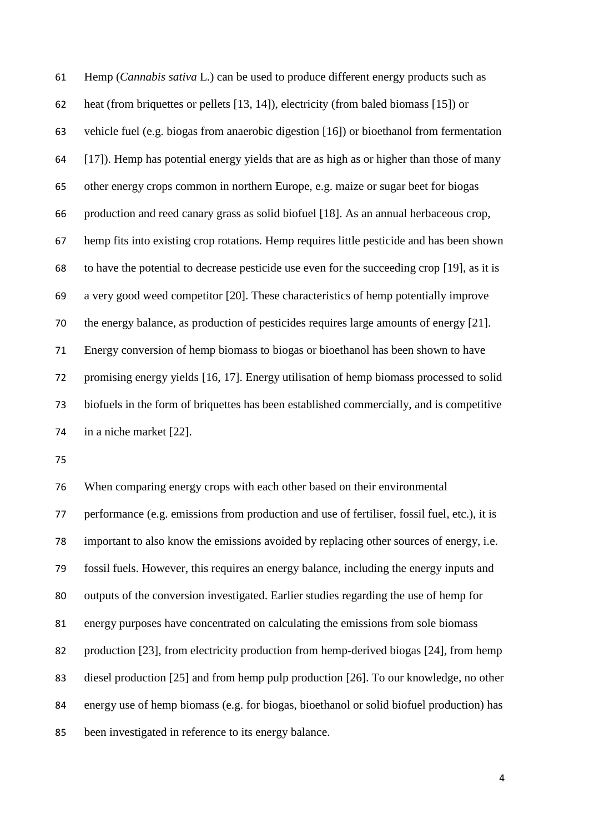Hemp (*Cannabis sativa* L.) can be used to produce different energy products such as heat (from briquettes or pellets [\[13,](#page-29-10) [14\]](#page-29-11)), electricity (from baled biomass [\[15\]](#page-30-0)) or vehicle fuel (e.g. biogas from anaerobic digestion [\[16\]](#page-30-1)) or bioethanol from fermentation [\[17\]](#page-30-2)). Hemp has potential energy yields that are as high as or higher than those of many other energy crops common in northern Europe, e.g. maize or sugar beet for biogas production and reed canary grass as solid biofuel [\[18\]](#page-30-3). As an annual herbaceous crop, hemp fits into existing crop rotations. Hemp requires little pesticide and has been shown to have the potential to decrease pesticide use even for the succeeding crop [\[19\]](#page-30-4), as it is a very good weed competitor [\[20\]](#page-30-5). These characteristics of hemp potentially improve the energy balance, as production of pesticides requires large amounts of energy [\[21\]](#page-30-6). Energy conversion of hemp biomass to biogas or bioethanol has been shown to have promising energy yields [\[16,](#page-30-1) [17\]](#page-30-2). Energy utilisation of hemp biomass processed to solid biofuels in the form of briquettes has been established commercially, and is competitive in a niche market [\[22\]](#page-30-7).

 When comparing energy crops with each other based on their environmental performance (e.g. emissions from production and use of fertiliser, fossil fuel, etc.), it is important to also know the emissions avoided by replacing other sources of energy, i.e. fossil fuels. However, this requires an energy balance, including the energy inputs and outputs of the conversion investigated. Earlier studies regarding the use of hemp for energy purposes have concentrated on calculating the emissions from sole biomass production [\[23\]](#page-30-8), from electricity production from hemp-derived biogas [\[24\]](#page-30-9), from hemp diesel production [\[25\]](#page-30-10) and from hemp pulp production [\[26\]](#page-30-11). To our knowledge, no other energy use of hemp biomass (e.g. for biogas, bioethanol or solid biofuel production) has been investigated in reference to its energy balance.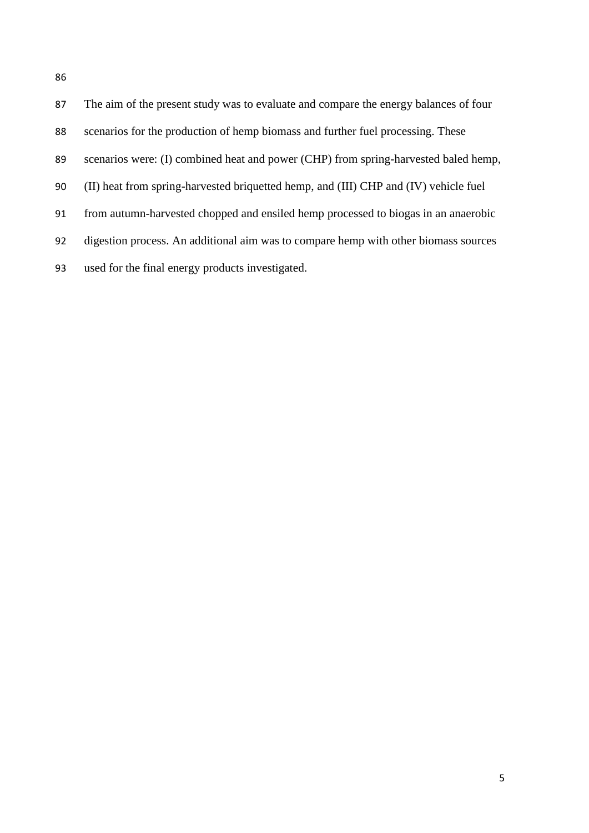| 87 | The aim of the present study was to evaluate and compare the energy balances of four |
|----|--------------------------------------------------------------------------------------|
| 88 | scenarios for the production of hemp biomass and further fuel processing. These      |
| 89 | scenarios were: (I) combined heat and power (CHP) from spring-harvested baled hemp,  |
| 90 | (II) heat from spring-harvested briquetted hemp, and (III) CHP and (IV) vehicle fuel |
| 91 | from autumn-harvested chopped and ensiled hemp processed to biogas in an anaerobic   |
| 92 | digestion process. An additional aim was to compare hemp with other biomass sources  |
| 93 | used for the final energy products investigated.                                     |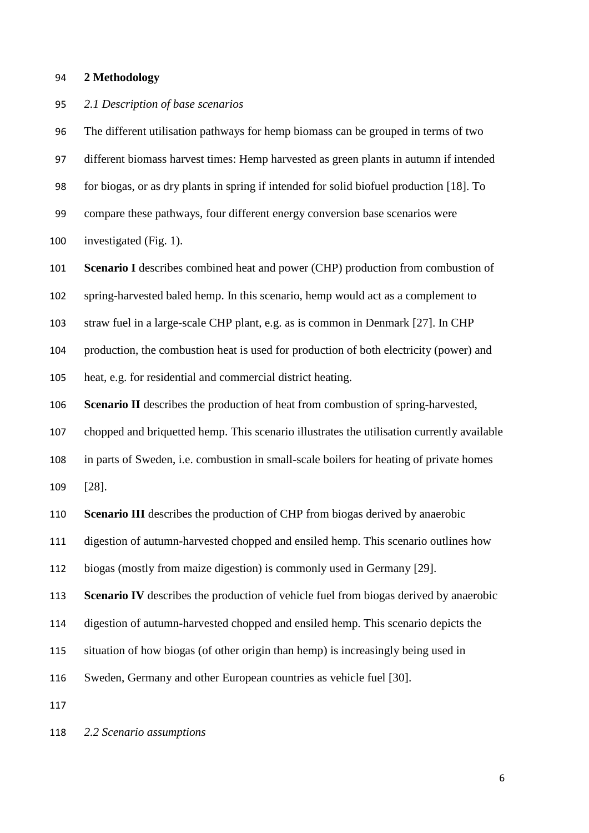#### **2 Methodology**

#### *2.1 Description of base scenarios*

 The different utilisation pathways for hemp biomass can be grouped in terms of two different biomass harvest times: Hemp harvested as green plants in autumn if intended for biogas, or as dry plants in spring if intended for solid biofuel production [\[18\]](#page-30-3). To compare these pathways, four different energy conversion base scenarios were investigated (Fig. 1).

**Scenario I** describes combined heat and power (CHP) production from combustion of

spring-harvested baled hemp. In this scenario, hemp would act as a complement to

straw fuel in a large-scale CHP plant, e.g. as is common in Denmark [\[27\]](#page-30-12). In CHP

production, the combustion heat is used for production of both electricity (power) and

heat, e.g. for residential and commercial district heating.

**Scenario II** describes the production of heat from combustion of spring-harvested,

chopped and briquetted hemp. This scenario illustrates the utilisation currently available

in parts of Sweden, i.e. combustion in small-scale boilers for heating of private homes

[\[28\]](#page-30-13).

**Scenario III** describes the production of CHP from biogas derived by anaerobic

digestion of autumn-harvested chopped and ensiled hemp. This scenario outlines how

biogas (mostly from maize digestion) is commonly used in Germany [\[29\]](#page-30-14).

**Scenario IV** describes the production of vehicle fuel from biogas derived by anaerobic

digestion of autumn-harvested chopped and ensiled hemp. This scenario depicts the

situation of how biogas (of other origin than hemp) is increasingly being used in

Sweden, Germany and other European countries as vehicle fuel [\[30\]](#page-30-15).

*2.2 Scenario assumptions*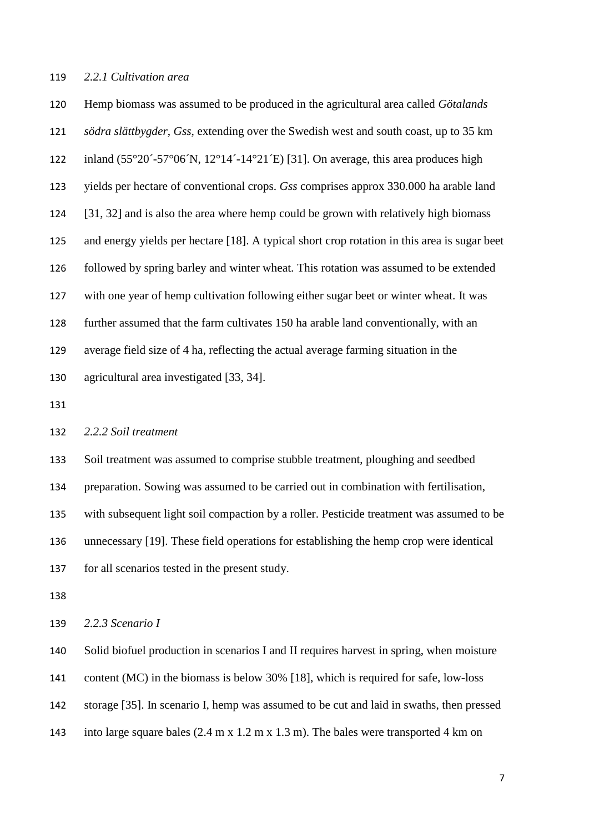#### *2.2.1 Cultivation area*

 Hemp biomass was assumed to be produced in the agricultural area called *Götalands södra slättbygder*, *Gss*, extending over the Swedish west and south coast, up to 35 km 122 inland  $(55^{\circ}20^{\circ} - 57^{\circ}06^{\circ}N, 12^{\circ}14^{\circ} - 14^{\circ}21^{\circ}E)$  [\[31\]](#page-30-16). On average, this area produces high yields per hectare of conventional crops. *Gss* comprises approx 330.000 ha arable land [\[31,](#page-30-16) [32\]](#page-30-17) and is also the area where hemp could be grown with relatively high biomass and energy yields per hectare [\[18\]](#page-30-3). A typical short crop rotation in this area is sugar beet followed by spring barley and winter wheat. This rotation was assumed to be extended with one year of hemp cultivation following either sugar beet or winter wheat. It was further assumed that the farm cultivates 150 ha arable land conventionally, with an average field size of 4 ha, reflecting the actual average farming situation in the agricultural area investigated [\[33,](#page-30-18) [34\]](#page-30-19).

### *2.2.2 Soil treatment*

Soil treatment was assumed to comprise stubble treatment, ploughing and seedbed

preparation. Sowing was assumed to be carried out in combination with fertilisation,

with subsequent light soil compaction by a roller. Pesticide treatment was assumed to be

unnecessary [\[19\]](#page-30-4). These field operations for establishing the hemp crop were identical

for all scenarios tested in the present study.

*2.2.3 Scenario I* 

Solid biofuel production in scenarios I and II requires harvest in spring, when moisture

content (MC) in the biomass is below 30% [\[18\]](#page-30-3), which is required for safe, low-loss

storage [\[35\]](#page-30-20). In scenario I, hemp was assumed to be cut and laid in swaths, then pressed

into large square bales (2.4 m x 1.2 m x 1.3 m). The bales were transported 4 km on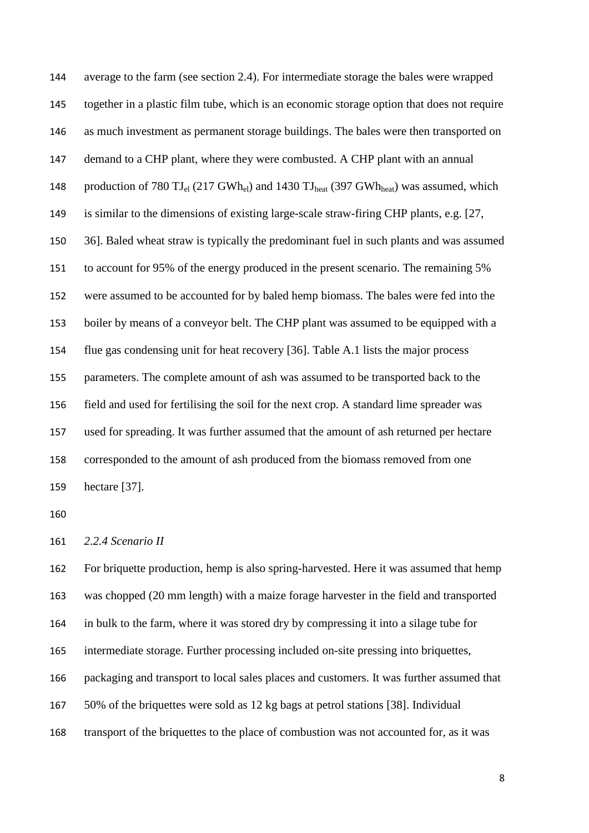average to the farm (see section 2.4). For intermediate storage the bales were wrapped together in a plastic film tube, which is an economic storage option that does not require as much investment as permanent storage buildings. The bales were then transported on demand to a CHP plant, where they were combusted. A CHP plant with an annual 148 production of 780  $TJ_{el}$  (217 GWh<sub>el</sub>) and 1430  $TJ_{heat}$  (397 GWh<sub>heat</sub>) was assumed, which is similar to the dimensions of existing large-scale straw-firing CHP plants, e.g. [\[27,](#page-30-12) [36\]](#page-31-0). Baled wheat straw is typically the predominant fuel in such plants and was assumed to account for 95% of the energy produced in the present scenario. The remaining 5% were assumed to be accounted for by baled hemp biomass. The bales were fed into the boiler by means of a conveyor belt. The CHP plant was assumed to be equipped with a flue gas condensing unit for heat recovery [\[36\]](#page-31-0). Table A.1 lists the major process parameters. The complete amount of ash was assumed to be transported back to the field and used for fertilising the soil for the next crop. A standard lime spreader was used for spreading. It was further assumed that the amount of ash returned per hectare corresponded to the amount of ash produced from the biomass removed from one hectare [\[37\]](#page-31-1).

*2.2.4 Scenario II*

 For briquette production, hemp is also spring-harvested. Here it was assumed that hemp was chopped (20 mm length) with a maize forage harvester in the field and transported in bulk to the farm, where it was stored dry by compressing it into a silage tube for intermediate storage. Further processing included on-site pressing into briquettes, packaging and transport to local sales places and customers. It was further assumed that 50% of the briquettes were sold as 12 kg bags at petrol stations [\[38\]](#page-31-2). Individual transport of the briquettes to the place of combustion was not accounted for, as it was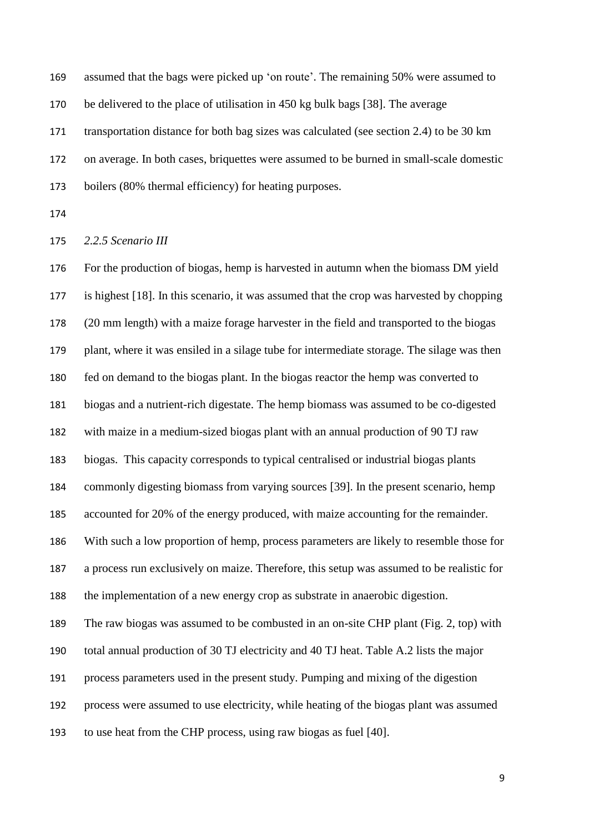assumed that the bags were picked up 'on route'. The remaining 50% were assumed to

be delivered to the place of utilisation in 450 kg bulk bags [\[38\]](#page-31-2). The average

transportation distance for both bag sizes was calculated (see section 2.4) to be 30 km

on average. In both cases, briquettes were assumed to be burned in small-scale domestic

boilers (80% thermal efficiency) for heating purposes.

*2.2.5 Scenario III*

 For the production of biogas, hemp is harvested in autumn when the biomass DM yield is highest [\[18\]](#page-30-3). In this scenario, it was assumed that the crop was harvested by chopping (20 mm length) with a maize forage harvester in the field and transported to the biogas plant, where it was ensiled in a silage tube for intermediate storage. The silage was then fed on demand to the biogas plant. In the biogas reactor the hemp was converted to biogas and a nutrient-rich digestate. The hemp biomass was assumed to be co-digested with maize in a medium-sized biogas plant with an annual production of 90 TJ raw biogas. This capacity corresponds to typical centralised or industrial biogas plants commonly digesting biomass from varying sources [\[39\]](#page-31-3). In the present scenario, hemp accounted for 20% of the energy produced, with maize accounting for the remainder. With such a low proportion of hemp, process parameters are likely to resemble those for a process run exclusively on maize. Therefore, this setup was assumed to be realistic for the implementation of a new energy crop as substrate in anaerobic digestion. The raw biogas was assumed to be combusted in an on-site CHP plant (Fig. 2, top) with total annual production of 30 TJ electricity and 40 TJ heat. Table A.2 lists the major process parameters used in the present study. Pumping and mixing of the digestion process were assumed to use electricity, while heating of the biogas plant was assumed to use heat from the CHP process, using raw biogas as fuel [\[40\]](#page-31-4).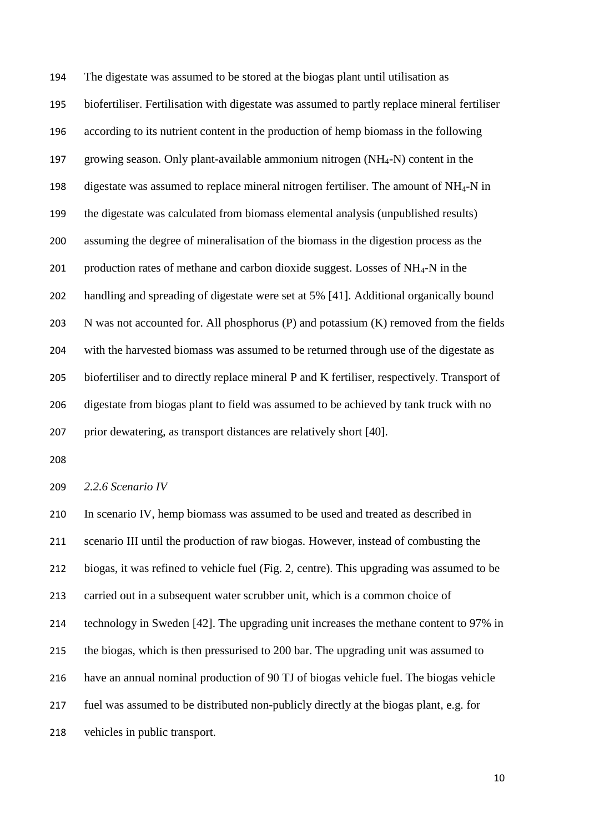The digestate was assumed to be stored at the biogas plant until utilisation as biofertiliser. Fertilisation with digestate was assumed to partly replace mineral fertiliser according to its nutrient content in the production of hemp biomass in the following growing season. Only plant-available ammonium nitrogen (NH4-N) content in the digestate was assumed to replace mineral nitrogen fertiliser. The amount of NH4-N in the digestate was calculated from biomass elemental analysis (unpublished results) assuming the degree of mineralisation of the biomass in the digestion process as the 201 production rates of methane and carbon dioxide suggest. Losses of  $NH<sub>4</sub>-N$  in the handling and spreading of digestate were set at 5% [\[41\]](#page-31-5). Additional organically bound N was not accounted for. All phosphorus (P) and potassium (K) removed from the fields with the harvested biomass was assumed to be returned through use of the digestate as biofertiliser and to directly replace mineral P and K fertiliser, respectively. Transport of digestate from biogas plant to field was assumed to be achieved by tank truck with no prior dewatering, as transport distances are relatively short [\[40\]](#page-31-4).

*2.2.6 Scenario IV*

 In scenario IV, hemp biomass was assumed to be used and treated as described in scenario III until the production of raw biogas. However, instead of combusting the biogas, it was refined to vehicle fuel (Fig. 2, centre). This upgrading was assumed to be carried out in a subsequent water scrubber unit, which is a common choice of technology in Sweden [\[42\]](#page-31-6). The upgrading unit increases the methane content to 97% in the biogas, which is then pressurised to 200 bar. The upgrading unit was assumed to have an annual nominal production of 90 TJ of biogas vehicle fuel. The biogas vehicle fuel was assumed to be distributed non-publicly directly at the biogas plant, e.g. for vehicles in public transport.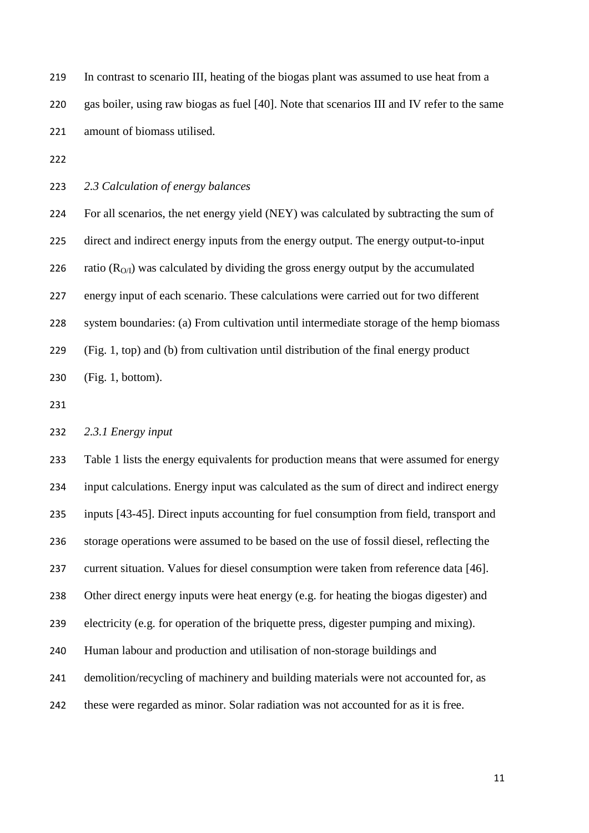In contrast to scenario III, heating of the biogas plant was assumed to use heat from a gas boiler, using raw biogas as fuel [\[40\]](#page-31-4). Note that scenarios III and IV refer to the same amount of biomass utilised.

*2.3 Calculation of energy balances*

 For all scenarios, the net energy yield (NEY) was calculated by subtracting the sum of direct and indirect energy inputs from the energy output. The energy output-to-input 226 ratio  $(R<sub>O</sub>/I)$  was calculated by dividing the gross energy output by the accumulated energy input of each scenario. These calculations were carried out for two different system boundaries: (a) From cultivation until intermediate storage of the hemp biomass (Fig. 1, top) and (b) from cultivation until distribution of the final energy product (Fig. 1, bottom).

#### *2.3.1 Energy input*

 Table 1 lists the energy equivalents for production means that were assumed for energy input calculations. Energy input was calculated as the sum of direct and indirect energy inputs [\[43-45\]](#page-31-7). Direct inputs accounting for fuel consumption from field, transport and storage operations were assumed to be based on the use of fossil diesel, reflecting the current situation. Values for diesel consumption were taken from reference data [\[46\]](#page-31-8). Other direct energy inputs were heat energy (e.g. for heating the biogas digester) and electricity (e.g. for operation of the briquette press, digester pumping and mixing). Human labour and production and utilisation of non-storage buildings and demolition/recycling of machinery and building materials were not accounted for, as these were regarded as minor. Solar radiation was not accounted for as it is free.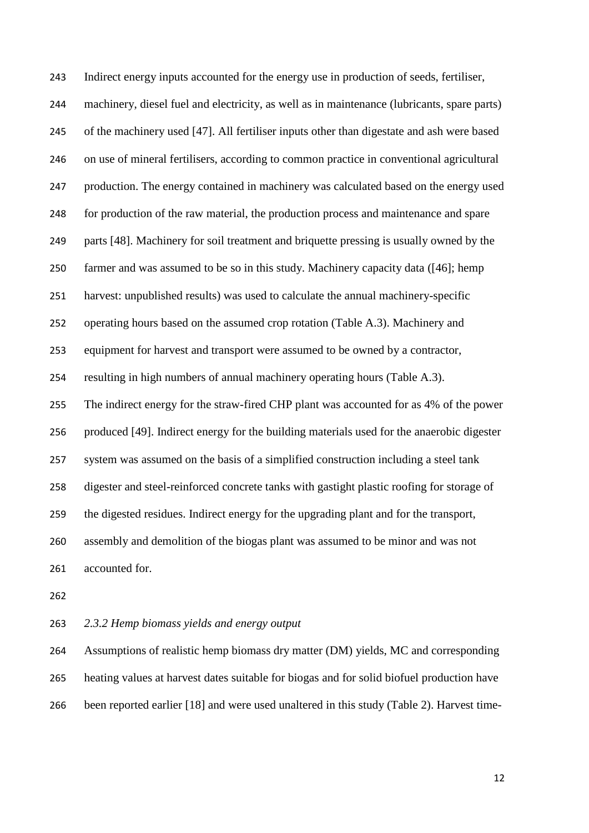Indirect energy inputs accounted for the energy use in production of seeds, fertiliser, machinery, diesel fuel and electricity, as well as in maintenance (lubricants, spare parts) of the machinery used [\[47\]](#page-31-9). All fertiliser inputs other than digestate and ash were based on use of mineral fertilisers, according to common practice in conventional agricultural production. The energy contained in machinery was calculated based on the energy used for production of the raw material, the production process and maintenance and spare parts [\[48\]](#page-31-10). Machinery for soil treatment and briquette pressing is usually owned by the farmer and was assumed to be so in this study. Machinery capacity data ([\[46\]](#page-31-8); hemp harvest: unpublished results) was used to calculate the annual machinery-specific operating hours based on the assumed crop rotation (Table A.3). Machinery and equipment for harvest and transport were assumed to be owned by a contractor, resulting in high numbers of annual machinery operating hours (Table A.3). The indirect energy for the straw-fired CHP plant was accounted for as 4% of the power produced [\[49\]](#page-31-11). Indirect energy for the building materials used for the anaerobic digester system was assumed on the basis of a simplified construction including a steel tank digester and steel-reinforced concrete tanks with gastight plastic roofing for storage of the digested residues. Indirect energy for the upgrading plant and for the transport, assembly and demolition of the biogas plant was assumed to be minor and was not accounted for.

*2.3.2 Hemp biomass yields and energy output*

 Assumptions of realistic hemp biomass dry matter (DM) yields, MC and corresponding heating values at harvest dates suitable for biogas and for solid biofuel production have been reported earlier [\[18\]](#page-30-3) and were used unaltered in this study (Table 2). Harvest time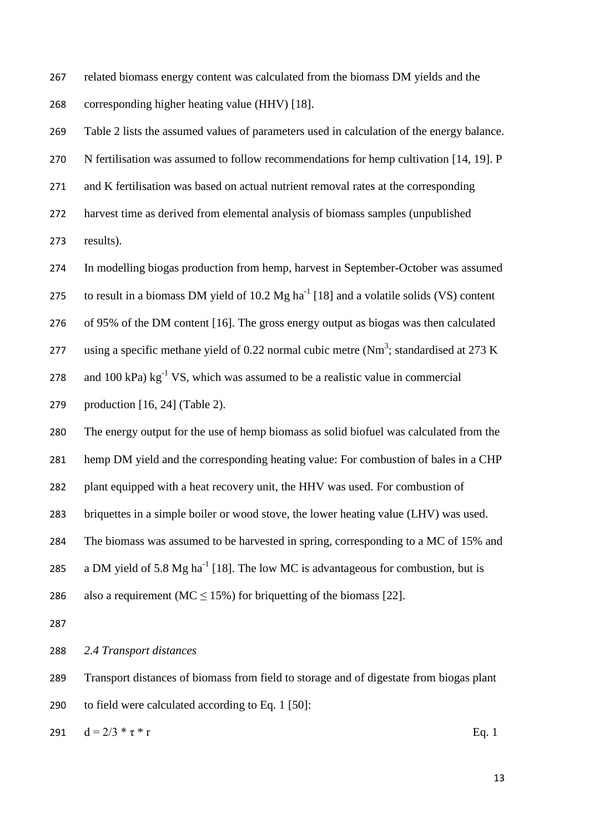related biomass energy content was calculated from the biomass DM yields and the corresponding higher heating value (HHV) [\[18\]](#page-30-3).

 Table 2 lists the assumed values of parameters used in calculation of the energy balance. N fertilisation was assumed to follow recommendations for hemp cultivation [\[14,](#page-29-11) [19\]](#page-30-4). P and K fertilisation was based on actual nutrient removal rates at the corresponding harvest time as derived from elemental analysis of biomass samples (unpublished results).

In modelling biogas production from hemp, harvest in September-October was assumed

275 to result in a biomass DM yield of 10.2 Mg ha<sup>-1</sup> [\[18\]](#page-30-3) and a volatile solids (VS) content

of 95% of the DM content [\[16\]](#page-30-1). The gross energy output as biogas was then calculated

277 using a specific methane yield of 0.22 normal cubic metre ( $Nm^3$ ; standardised at 273 K

278 and 100 kPa)  $kg^{-1}$  VS, which was assumed to be a realistic value in commercial

production [\[16,](#page-30-1) [24\]](#page-30-9) (Table 2).

The energy output for the use of hemp biomass as solid biofuel was calculated from the

hemp DM yield and the corresponding heating value: For combustion of bales in a CHP

plant equipped with a heat recovery unit, the HHV was used. For combustion of

briquettes in a simple boiler or wood stove, the lower heating value (LHV) was used.

The biomass was assumed to be harvested in spring, corresponding to a MC of 15% and

285 a DM yield of 5.8 Mg ha<sup>-1</sup> [\[18\]](#page-30-3). The low MC is advantageous for combustion, but is

286 also a requirement (MC  $\leq$  15%) for briquetting of the biomass [\[22\]](#page-30-7).

*2.4 Transport distances*

 Transport distances of biomass from field to storage and of digestate from biogas plant to field were calculated according to Eq. 1 [\[50\]](#page-31-12):

291  $d = 2/3 * \tau * r$  Eq. 1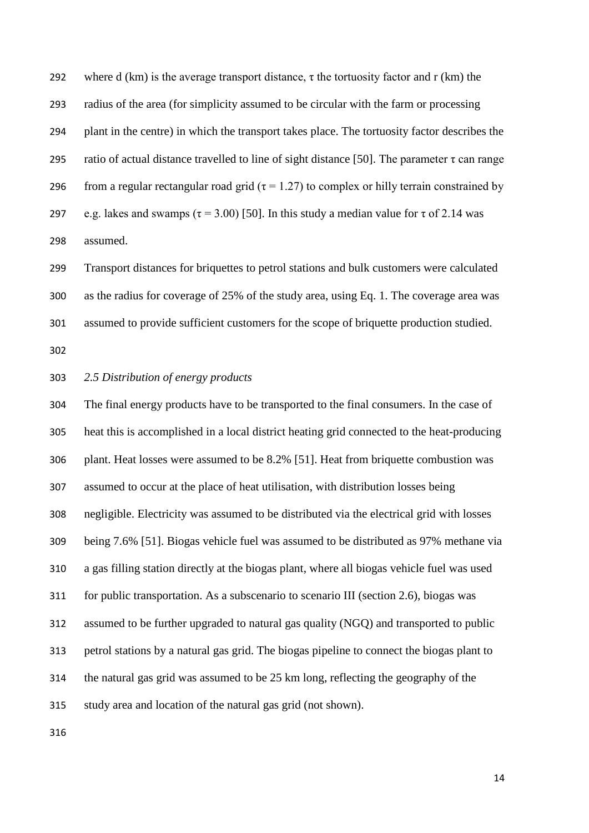292 where d (km) is the average transport distance,  $\tau$  the tortuosity factor and r (km) the radius of the area (for simplicity assumed to be circular with the farm or processing plant in the centre) in which the transport takes place. The tortuosity factor describes the 295 ratio of actual distance travelled to line of sight distance [\[50\]](#page-31-12). The parameter  $\tau$  can range 296 from a regular rectangular road grid ( $\tau$  = 1.27) to complex or hilly terrain constrained by 297 e.g. lakes and swamps ( $\tau$  = 3.00) [\[50\]](#page-31-12). In this study a median value for  $\tau$  of 2.14 was assumed.

 Transport distances for briquettes to petrol stations and bulk customers were calculated as the radius for coverage of 25% of the study area, using Eq. 1. The coverage area was assumed to provide sufficient customers for the scope of briquette production studied.

#### *2.5 Distribution of energy products*

 The final energy products have to be transported to the final consumers. In the case of heat this is accomplished in a local district heating grid connected to the heat-producing plant. Heat losses were assumed to be 8.2% [\[51\]](#page-31-13). Heat from briquette combustion was assumed to occur at the place of heat utilisation, with distribution losses being negligible. Electricity was assumed to be distributed via the electrical grid with losses being 7.6% [\[51\]](#page-31-13). Biogas vehicle fuel was assumed to be distributed as 97% methane via a gas filling station directly at the biogas plant, where all biogas vehicle fuel was used for public transportation. As a subscenario to scenario III (section 2.6), biogas was assumed to be further upgraded to natural gas quality (NGQ) and transported to public petrol stations by a natural gas grid. The biogas pipeline to connect the biogas plant to the natural gas grid was assumed to be 25 km long, reflecting the geography of the study area and location of the natural gas grid (not shown).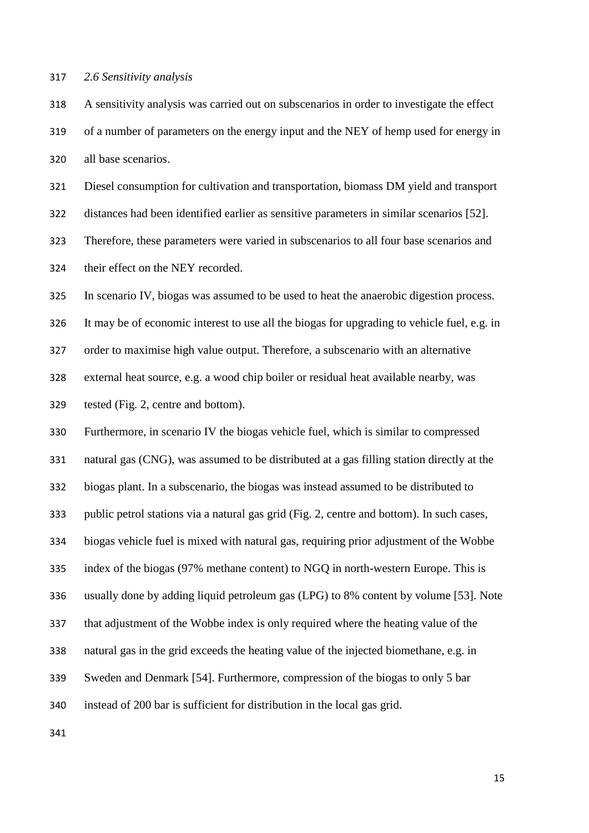#### *2.6 Sensitivity analysis*

 A sensitivity analysis was carried out on subscenarios in order to investigate the effect of a number of parameters on the energy input and the NEY of hemp used for energy in all base scenarios.

Diesel consumption for cultivation and transportation, biomass DM yield and transport

distances had been identified earlier as sensitive parameters in similar scenarios [\[52\]](#page-31-14).

Therefore, these parameters were varied in subscenarios to all four base scenarios and

their effect on the NEY recorded.

In scenario IV, biogas was assumed to be used to heat the anaerobic digestion process.

It may be of economic interest to use all the biogas for upgrading to vehicle fuel, e.g. in

order to maximise high value output. Therefore, a subscenario with an alternative

external heat source, e.g. a wood chip boiler or residual heat available nearby, was

tested (Fig. 2, centre and bottom).

 Furthermore, in scenario IV the biogas vehicle fuel, which is similar to compressed natural gas (CNG), was assumed to be distributed at a gas filling station directly at the biogas plant. In a subscenario, the biogas was instead assumed to be distributed to public petrol stations via a natural gas grid (Fig. 2, centre and bottom). In such cases, biogas vehicle fuel is mixed with natural gas, requiring prior adjustment of the Wobbe index of the biogas (97% methane content) to NGQ in north-western Europe. This is usually done by adding liquid petroleum gas (LPG) to 8% content by volume [\[53\]](#page-31-15). Note that adjustment of the Wobbe index is only required where the heating value of the natural gas in the grid exceeds the heating value of the injected biomethane, e.g. in Sweden and Denmark [\[54\]](#page-31-16). Furthermore, compression of the biogas to only 5 bar instead of 200 bar is sufficient for distribution in the local gas grid.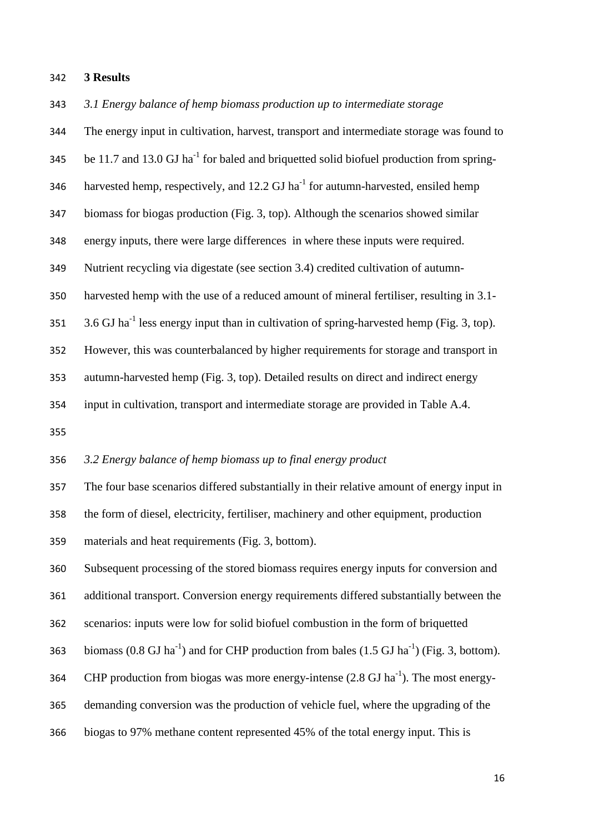### **3 Results**

*3.1 Energy balance of hemp biomass production up to intermediate storage* 

The energy input in cultivation, harvest, transport and intermediate storage was found to

345 be 11.7 and 13.0 GJ ha<sup>-1</sup> for baled and briquetted solid biofuel production from spring-

- 346 harvested hemp, respectively, and  $12.2 \text{ GJ} \text{ ha}^{-1}$  for autumn-harvested, ensiled hemp
- biomass for biogas production (Fig. 3, top). Although the scenarios showed similar
- energy inputs, there were large differences in where these inputs were required.
- Nutrient recycling via digestate (see section 3.4) credited cultivation of autumn-
- harvested hemp with the use of a reduced amount of mineral fertiliser, resulting in 3.1-
- 351 3.6 GJ ha<sup>-1</sup> less energy input than in cultivation of spring-harvested hemp (Fig. 3, top).

However, this was counterbalanced by higher requirements for storage and transport in

autumn-harvested hemp (Fig. 3, top). Detailed results on direct and indirect energy

input in cultivation, transport and intermediate storage are provided in Table A.4.

#### *3.2 Energy balance of hemp biomass up to final energy product*

 The four base scenarios differed substantially in their relative amount of energy input in the form of diesel, electricity, fertiliser, machinery and other equipment, production materials and heat requirements (Fig. 3, bottom).

Subsequent processing of the stored biomass requires energy inputs for conversion and

additional transport. Conversion energy requirements differed substantially between the

- scenarios: inputs were low for solid biofuel combustion in the form of briquetted
- 363 biomass  $(0.8 \text{ GJ ha}^{-1})$  and for CHP production from bales  $(1.5 \text{ GJ ha}^{-1})$  (Fig. 3, bottom).
- 364 CHP production from biogas was more energy-intense  $(2.8 \text{ GJ ha}^{-1})$ . The most energy-
- demanding conversion was the production of vehicle fuel, where the upgrading of the
- biogas to 97% methane content represented 45% of the total energy input. This is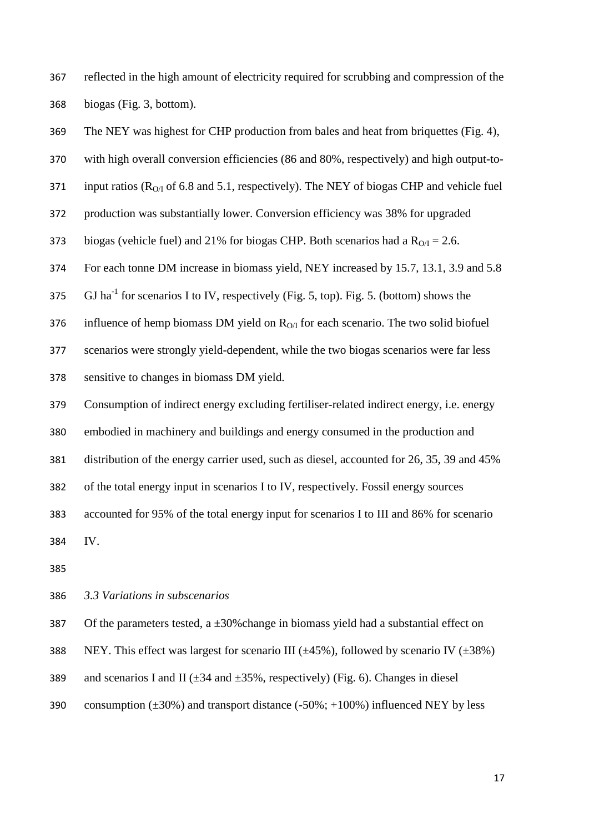reflected in the high amount of electricity required for scrubbing and compression of the biogas (Fig. 3, bottom).

 The NEY was highest for CHP production from bales and heat from briquettes (Fig. 4), with high overall conversion efficiencies (86 and 80%, respectively) and high output-to-371 input ratios ( $R_{O/I}$  of 6.8 and 5.1, respectively). The NEY of biogas CHP and vehicle fuel production was substantially lower. Conversion efficiency was 38% for upgraded 373 biogas (vehicle fuel) and 21% for biogas CHP. Both scenarios had a  $R_{O/I} = 2.6$ . For each tonne DM increase in biomass yield, NEY increased by 15.7, 13.1, 3.9 and 5.8 375 GJ ha<sup>-1</sup> for scenarios I to IV, respectively (Fig. 5, top). Fig. 5. (bottom) shows the 376 influence of hemp biomass DM yield on  $R_{O/I}$  for each scenario. The two solid biofuel scenarios were strongly yield-dependent, while the two biogas scenarios were far less sensitive to changes in biomass DM yield. Consumption of indirect energy excluding fertiliser-related indirect energy, i.e. energy embodied in machinery and buildings and energy consumed in the production and distribution of the energy carrier used, such as diesel, accounted for 26, 35, 39 and 45% of the total energy input in scenarios I to IV, respectively. Fossil energy sources accounted for 95% of the total energy input for scenarios I to III and 86% for scenario

IV.

## *3.3 Variations in subscenarios*

387 Of the parameters tested, a  $\pm 30\%$  change in biomass yield had a substantial effect on

388 NEY. This effect was largest for scenario III ( $\pm$ 45%), followed by scenario IV ( $\pm$ 38%)

389 and scenarios I and II ( $\pm$ 34 and  $\pm$ 35%, respectively) (Fig. 6). Changes in diesel

390 consumption  $(\pm 30\%)$  and transport distance  $(-50\%; +100\%)$  influenced NEY by less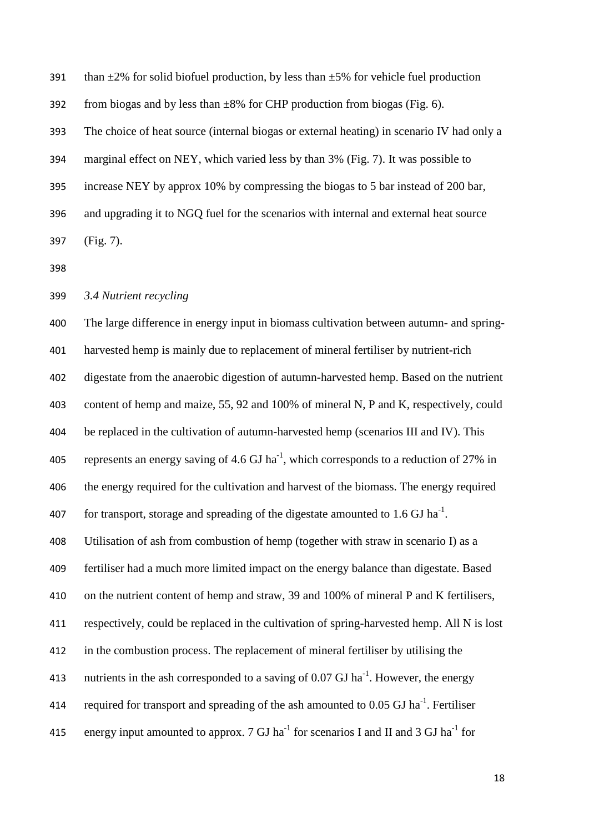391 than  $\pm 2\%$  for solid biofuel production, by less than  $\pm 5\%$  for vehicle fuel production 392 from biogas and by less than  $\pm 8\%$  for CHP production from biogas (Fig. 6). The choice of heat source (internal biogas or external heating) in scenario IV had only a marginal effect on NEY, which varied less by than 3% (Fig. 7). It was possible to increase NEY by approx 10% by compressing the biogas to 5 bar instead of 200 bar, and upgrading it to NGQ fuel for the scenarios with internal and external heat source (Fig. 7).

*3.4 Nutrient recycling*

 The large difference in energy input in biomass cultivation between autumn- and spring- harvested hemp is mainly due to replacement of mineral fertiliser by nutrient-rich digestate from the anaerobic digestion of autumn-harvested hemp. Based on the nutrient content of hemp and maize, 55, 92 and 100% of mineral N, P and K, respectively, could be replaced in the cultivation of autumn-harvested hemp (scenarios III and IV). This 405 represents an energy saving of 4.6 GJ ha<sup>-1</sup>, which corresponds to a reduction of 27% in the energy required for the cultivation and harvest of the biomass. The energy required 407 for transport, storage and spreading of the digestate amounted to 1.6 GJ ha<sup>-1</sup>. Utilisation of ash from combustion of hemp (together with straw in scenario I) as a fertiliser had a much more limited impact on the energy balance than digestate. Based on the nutrient content of hemp and straw, 39 and 100% of mineral P and K fertilisers, respectively, could be replaced in the cultivation of spring-harvested hemp. All N is lost in the combustion process. The replacement of mineral fertiliser by utilising the 413 untrients in the ash corresponded to a saving of 0.07 GJ ha<sup>-1</sup>. However, the energy 414 required for transport and spreading of the ash amounted to  $0.05$  GJ ha<sup>-1</sup>. Fertiliser 415 energy input amounted to approx. 7 GJ ha<sup>-1</sup> for scenarios I and II and 3 GJ ha<sup>-1</sup> for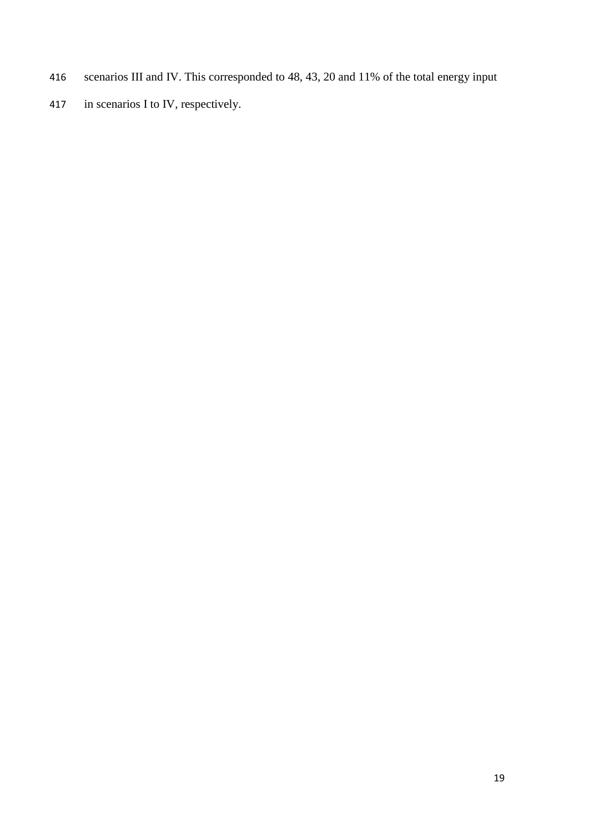- scenarios III and IV. This corresponded to 48, 43, 20 and 11% of the total energy input
- in scenarios I to IV, respectively.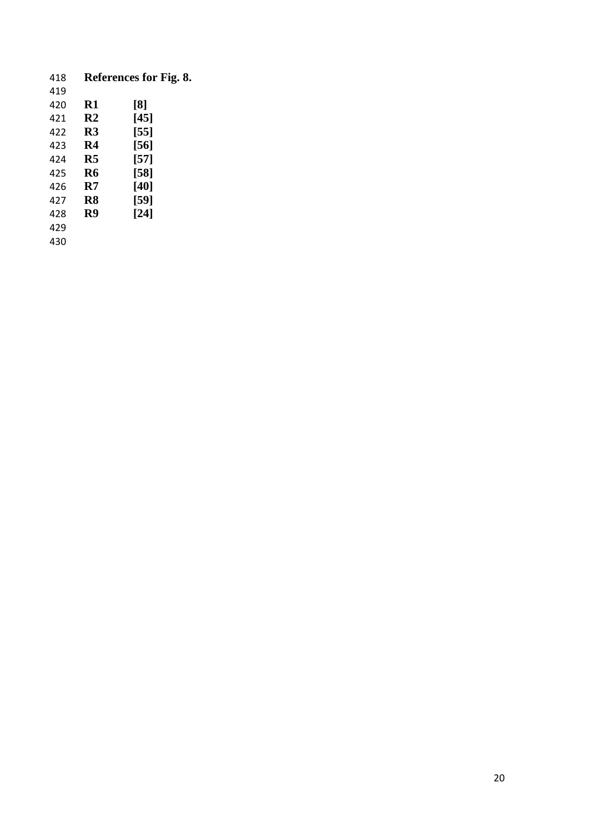| 418 |               | References for Fig. 8. |
|-----|---------------|------------------------|
| 419 |               |                        |
| 420 | R1            | [8]                    |
| 421 | $\mathbf{R}2$ | [45]                   |
| 422 | R3            | [55]                   |
| 423 | R4            | [56]                   |
| 424 | R5            | [57]                   |
| 425 | R6            | [58]                   |
| 426 | R7            | [40]                   |
| 427 | R8            | [59]                   |
| 428 | R9            | [24]                   |
| 429 |               |                        |
| 430 |               |                        |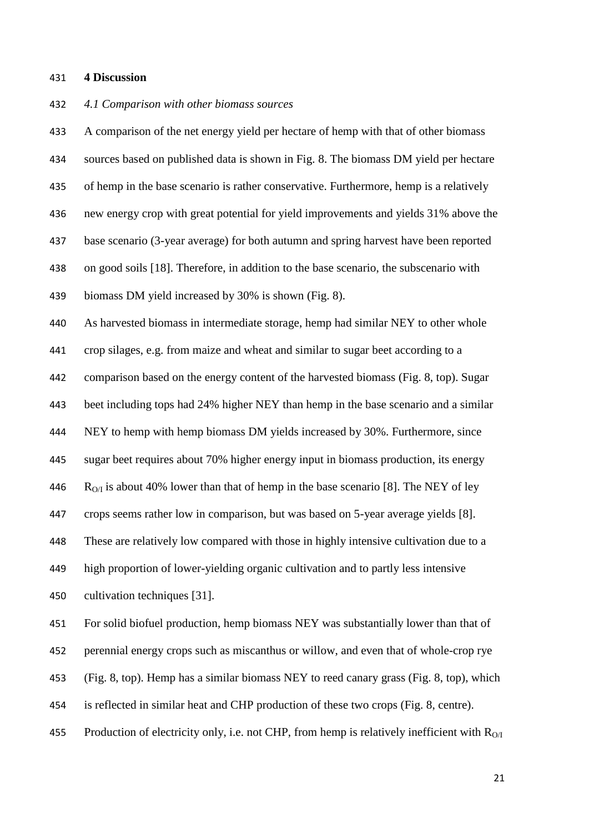#### **4 Discussion**

#### *4.1 Comparison with other biomass sources*

 A comparison of the net energy yield per hectare of hemp with that of other biomass sources based on published data is shown in Fig. 8. The biomass DM yield per hectare of hemp in the base scenario is rather conservative. Furthermore, hemp is a relatively new energy crop with great potential for yield improvements and yields 31% above the base scenario (3-year average) for both autumn and spring harvest have been reported on good soils [\[18\]](#page-30-3). Therefore, in addition to the base scenario, the subscenario with biomass DM yield increased by 30% is shown (Fig. 8). As harvested biomass in intermediate storage, hemp had similar NEY to other whole crop silages, e.g. from maize and wheat and similar to sugar beet according to a comparison based on the energy content of the harvested biomass (Fig. 8, top). Sugar beet including tops had 24% higher NEY than hemp in the base scenario and a similar NEY to hemp with hemp biomass DM yields increased by 30%. Furthermore, since sugar beet requires about 70% higher energy input in biomass production, its energy 446 R<sub>O/I</sub> is about 40% lower than that of hemp in the base scenario [\[8\]](#page-29-5). The NEY of ley crops seems rather low in comparison, but was based on 5-year average yields [\[8\]](#page-29-5). These are relatively low compared with those in highly intensive cultivation due to a high proportion of lower-yielding organic cultivation and to partly less intensive cultivation techniques [\[31\]](#page-30-16). For solid biofuel production, hemp biomass NEY was substantially lower than that of perennial energy crops such as miscanthus or willow, and even that of whole-crop rye (Fig. 8, top). Hemp has a similar biomass NEY to reed canary grass (Fig. 8, top), which is reflected in similar heat and CHP production of these two crops (Fig. 8, centre).

455 Production of electricity only, i.e. not CHP, from hemp is relatively inefficient with  $R_{Q/I}$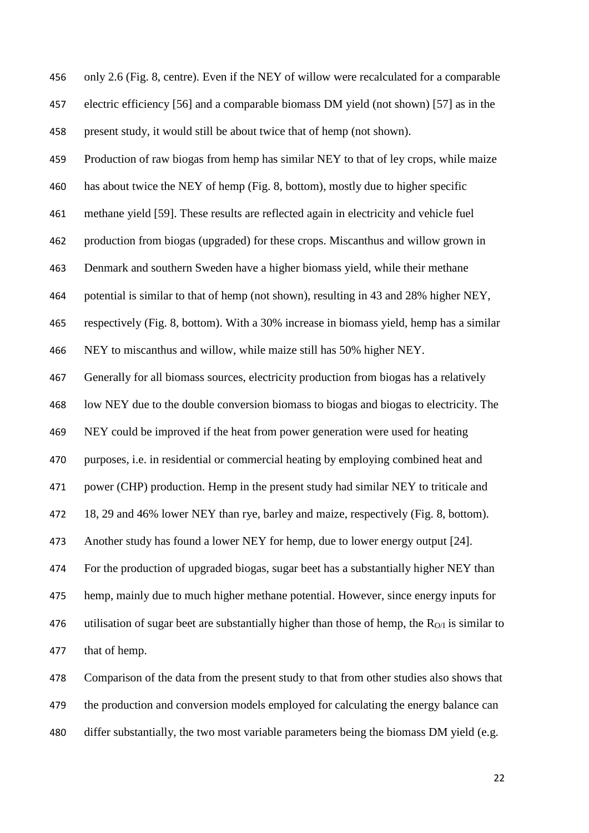only 2.6 (Fig. 8, centre). Even if the NEY of willow were recalculated for a comparable electric efficiency [\[56\]](#page-31-19) and a comparable biomass DM yield (not shown) [\[57\]](#page-31-20) as in the present study, it would still be about twice that of hemp (not shown). Production of raw biogas from hemp has similar NEY to that of ley crops, while maize has about twice the NEY of hemp (Fig. 8, bottom), mostly due to higher specific methane yield [\[59\]](#page-32-0). These results are reflected again in electricity and vehicle fuel production from biogas (upgraded) for these crops. Miscanthus and willow grown in Denmark and southern Sweden have a higher biomass yield, while their methane potential is similar to that of hemp (not shown), resulting in 43 and 28% higher NEY, respectively (Fig. 8, bottom). With a 30% increase in biomass yield, hemp has a similar NEY to miscanthus and willow, while maize still has 50% higher NEY. Generally for all biomass sources, electricity production from biogas has a relatively low NEY due to the double conversion biomass to biogas and biogas to electricity. The NEY could be improved if the heat from power generation were used for heating purposes, i.e. in residential or commercial heating by employing combined heat and power (CHP) production. Hemp in the present study had similar NEY to triticale and 18, 29 and 46% lower NEY than rye, barley and maize, respectively (Fig. 8, bottom). Another study has found a lower NEY for hemp, due to lower energy output [\[24\]](#page-30-9). For the production of upgraded biogas, sugar beet has a substantially higher NEY than hemp, mainly due to much higher methane potential. However, since energy inputs for 476 utilisation of sugar beet are substantially higher than those of hemp, the  $R_{O/I}$  is similar to that of hemp. Comparison of the data from the present study to that from other studies also shows that

479 the production and conversion models employed for calculating the energy balance can differ substantially, the two most variable parameters being the biomass DM yield (e.g.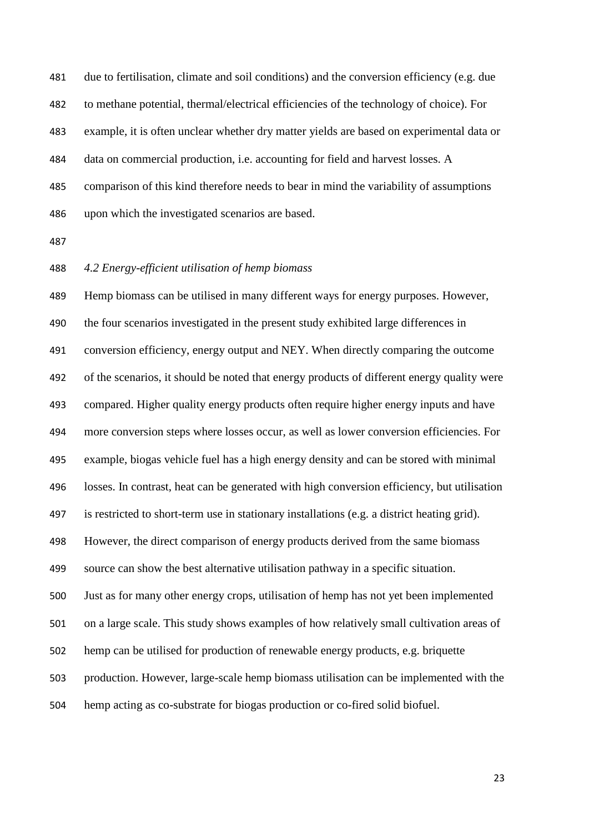due to fertilisation, climate and soil conditions) and the conversion efficiency (e.g. due to methane potential, thermal/electrical efficiencies of the technology of choice). For example, it is often unclear whether dry matter yields are based on experimental data or data on commercial production, i.e. accounting for field and harvest losses. A comparison of this kind therefore needs to bear in mind the variability of assumptions upon which the investigated scenarios are based.

## *4.2 Energy-efficient utilisation of hemp biomass*

 Hemp biomass can be utilised in many different ways for energy purposes. However, the four scenarios investigated in the present study exhibited large differences in conversion efficiency, energy output and NEY. When directly comparing the outcome of the scenarios, it should be noted that energy products of different energy quality were compared. Higher quality energy products often require higher energy inputs and have more conversion steps where losses occur, as well as lower conversion efficiencies. For example, biogas vehicle fuel has a high energy density and can be stored with minimal losses. In contrast, heat can be generated with high conversion efficiency, but utilisation is restricted to short-term use in stationary installations (e.g. a district heating grid). However, the direct comparison of energy products derived from the same biomass source can show the best alternative utilisation pathway in a specific situation. Just as for many other energy crops, utilisation of hemp has not yet been implemented on a large scale. This study shows examples of how relatively small cultivation areas of hemp can be utilised for production of renewable energy products, e.g. briquette production. However, large-scale hemp biomass utilisation can be implemented with the hemp acting as co-substrate for biogas production or co-fired solid biofuel.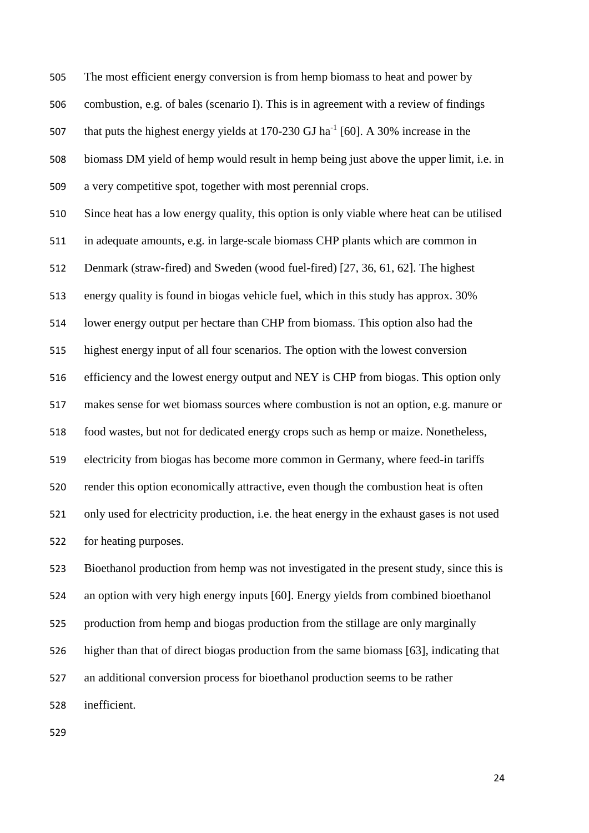The most efficient energy conversion is from hemp biomass to heat and power by combustion, e.g. of bales (scenario I). This is in agreement with a review of findings 507 that puts the highest energy yields at  $170-230$  GJ ha<sup>-1</sup> [\[60\]](#page-32-1). A 30% increase in the biomass DM yield of hemp would result in hemp being just above the upper limit, i.e. in a very competitive spot, together with most perennial crops.

 Since heat has a low energy quality, this option is only viable where heat can be utilised in adequate amounts, e.g. in large-scale biomass CHP plants which are common in Denmark (straw-fired) and Sweden (wood fuel-fired) [\[27,](#page-30-12) [36,](#page-31-0) [61,](#page-32-2) [62\]](#page-32-3). The highest energy quality is found in biogas vehicle fuel, which in this study has approx. 30% lower energy output per hectare than CHP from biomass. This option also had the highest energy input of all four scenarios. The option with the lowest conversion efficiency and the lowest energy output and NEY is CHP from biogas. This option only makes sense for wet biomass sources where combustion is not an option, e.g. manure or food wastes, but not for dedicated energy crops such as hemp or maize. Nonetheless, electricity from biogas has become more common in Germany, where feed-in tariffs render this option economically attractive, even though the combustion heat is often only used for electricity production, i.e. the heat energy in the exhaust gases is not used for heating purposes.

 Bioethanol production from hemp was not investigated in the present study, since this is an option with very high energy inputs [\[60\]](#page-32-1). Energy yields from combined bioethanol production from hemp and biogas production from the stillage are only marginally higher than that of direct biogas production from the same biomass [\[63\]](#page-32-4), indicating that an additional conversion process for bioethanol production seems to be rather

inefficient.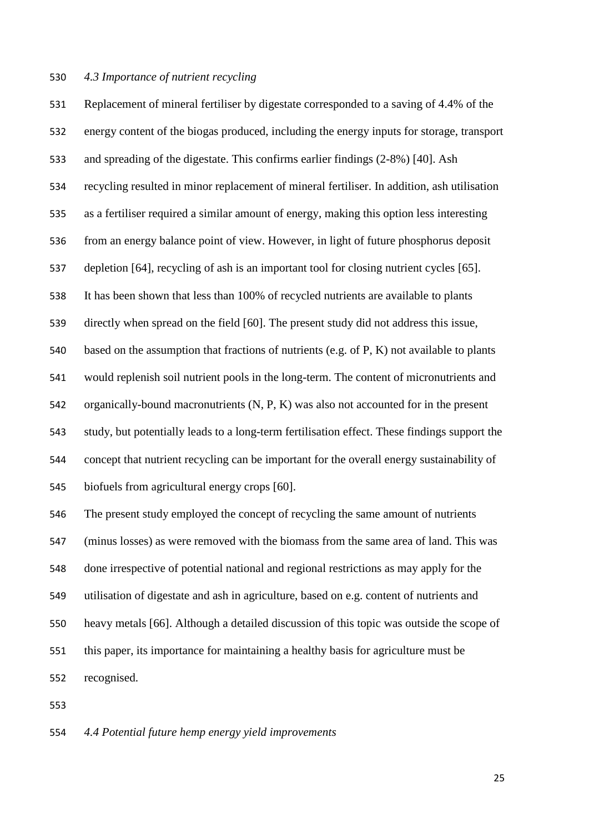#### *4.3 Importance of nutrient recycling*

 Replacement of mineral fertiliser by digestate corresponded to a saving of 4.4% of the energy content of the biogas produced, including the energy inputs for storage, transport and spreading of the digestate. This confirms earlier findings (2-8%) [\[40\]](#page-31-4). Ash recycling resulted in minor replacement of mineral fertiliser. In addition, ash utilisation as a fertiliser required a similar amount of energy, making this option less interesting from an energy balance point of view. However, in light of future phosphorus deposit depletion [\[64\]](#page-32-5), recycling of ash is an important tool for closing nutrient cycles [\[65\]](#page-32-6). It has been shown that less than 100% of recycled nutrients are available to plants directly when spread on the field [\[60\]](#page-32-1). The present study did not address this issue, based on the assumption that fractions of nutrients (e.g. of P, K) not available to plants would replenish soil nutrient pools in the long-term. The content of micronutrients and organically-bound macronutrients (N, P, K) was also not accounted for in the present study, but potentially leads to a long-term fertilisation effect. These findings support the concept that nutrient recycling can be important for the overall energy sustainability of biofuels from agricultural energy crops [\[60\]](#page-32-1). The present study employed the concept of recycling the same amount of nutrients (minus losses) as were removed with the biomass from the same area of land. This was done irrespective of potential national and regional restrictions as may apply for the utilisation of digestate and ash in agriculture, based on e.g. content of nutrients and heavy metals [\[66\]](#page-32-7). Although a detailed discussion of this topic was outside the scope of this paper, its importance for maintaining a healthy basis for agriculture must be

recognised.

*4.4 Potential future hemp energy yield improvements*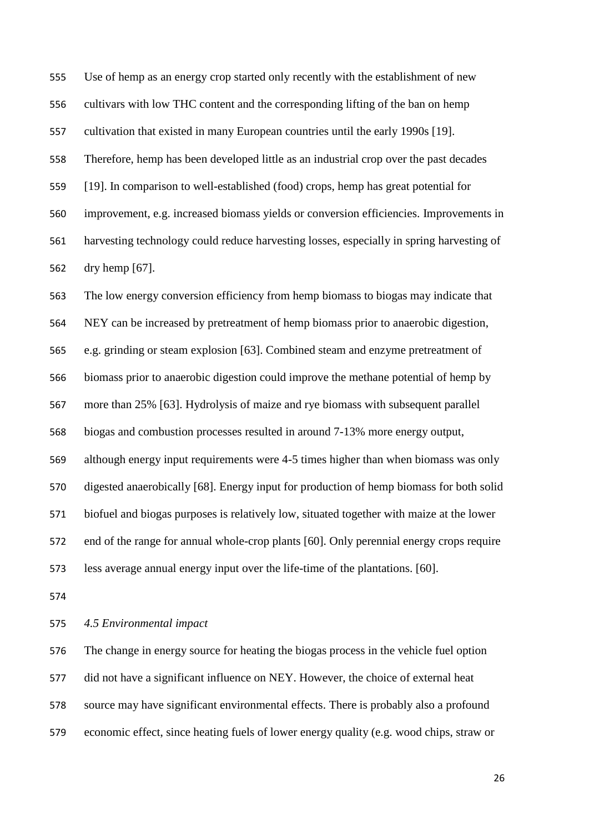Use of hemp as an energy crop started only recently with the establishment of new cultivars with low THC content and the corresponding lifting of the ban on hemp cultivation that existed in many European countries until the early 1990s [\[19\]](#page-30-4). Therefore, hemp has been developed little as an industrial crop over the past decades [\[19\]](#page-30-4). In comparison to well-established (food) crops, hemp has great potential for improvement, e.g. increased biomass yields or conversion efficiencies. Improvements in harvesting technology could reduce harvesting losses, especially in spring harvesting of dry hemp [\[67\]](#page-32-8).

 The low energy conversion efficiency from hemp biomass to biogas may indicate that NEY can be increased by pretreatment of hemp biomass prior to anaerobic digestion, e.g. grinding or steam explosion [\[63\]](#page-32-4). Combined steam and enzyme pretreatment of biomass prior to anaerobic digestion could improve the methane potential of hemp by more than 25% [\[63\]](#page-32-4). Hydrolysis of maize and rye biomass with subsequent parallel biogas and combustion processes resulted in around 7-13% more energy output, although energy input requirements were 4-5 times higher than when biomass was only digested anaerobically [\[68\]](#page-32-9). Energy input for production of hemp biomass for both solid biofuel and biogas purposes is relatively low, situated together with maize at the lower end of the range for annual whole-crop plants [\[60\]](#page-32-1). Only perennial energy crops require less average annual energy input over the life-time of the plantations. [\[60\]](#page-32-1).

# *4.5 Environmental impact*

 The change in energy source for heating the biogas process in the vehicle fuel option did not have a significant influence on NEY. However, the choice of external heat source may have significant environmental effects. There is probably also a profound economic effect, since heating fuels of lower energy quality (e.g. wood chips, straw or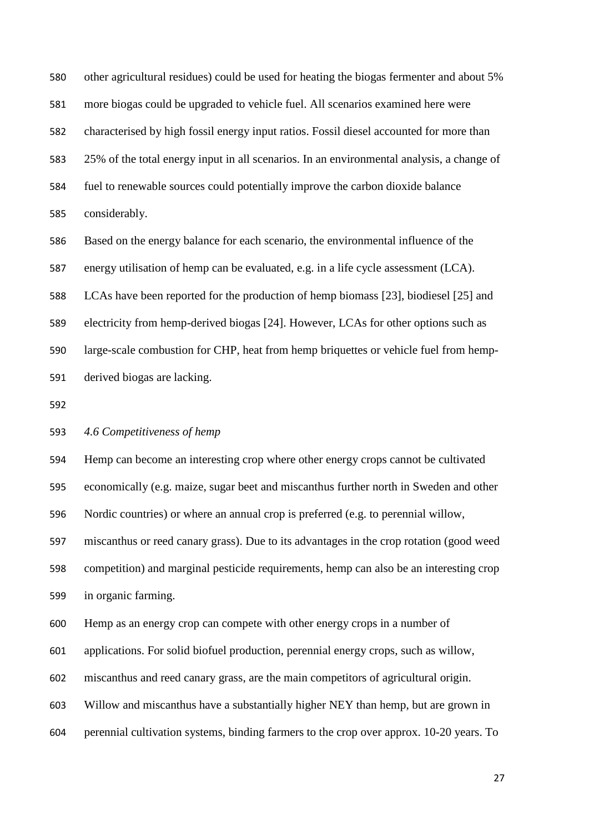other agricultural residues) could be used for heating the biogas fermenter and about 5% more biogas could be upgraded to vehicle fuel. All scenarios examined here were characterised by high fossil energy input ratios. Fossil diesel accounted for more than 25% of the total energy input in all scenarios. In an environmental analysis, a change of fuel to renewable sources could potentially improve the carbon dioxide balance considerably.

Based on the energy balance for each scenario, the environmental influence of the

energy utilisation of hemp can be evaluated, e.g. in a life cycle assessment (LCA).

LCAs have been reported for the production of hemp biomass [\[23\]](#page-30-8), biodiesel [\[25\]](#page-30-10) and

electricity from hemp-derived biogas [\[24\]](#page-30-9). However, LCAs for other options such as

large-scale combustion for CHP, heat from hemp briquettes or vehicle fuel from hemp-

derived biogas are lacking.

### *4.6 Competitiveness of hemp*

Hemp can become an interesting crop where other energy crops cannot be cultivated

economically (e.g. maize, sugar beet and miscanthus further north in Sweden and other

Nordic countries) or where an annual crop is preferred (e.g. to perennial willow,

miscanthus or reed canary grass). Due to its advantages in the crop rotation (good weed

competition) and marginal pesticide requirements, hemp can also be an interesting crop

in organic farming.

Hemp as an energy crop can compete with other energy crops in a number of

applications. For solid biofuel production, perennial energy crops, such as willow,

miscanthus and reed canary grass, are the main competitors of agricultural origin.

Willow and miscanthus have a substantially higher NEY than hemp, but are grown in

perennial cultivation systems, binding farmers to the crop over approx. 10-20 years. To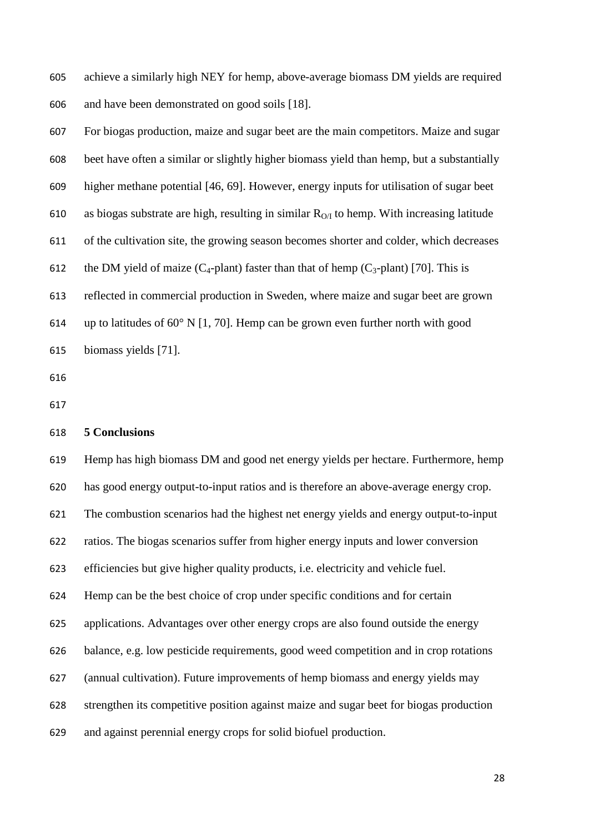achieve a similarly high NEY for hemp, above-average biomass DM yields are required and have been demonstrated on good soils [\[18\]](#page-30-3).

 For biogas production, maize and sugar beet are the main competitors. Maize and sugar beet have often a similar or slightly higher biomass yield than hemp, but a substantially higher methane potential [\[46,](#page-31-8) [69\]](#page-32-10). However, energy inputs for utilisation of sugar beet 610 as biogas substrate are high, resulting in similar  $R_{O/I}$  to hemp. With increasing latitude of the cultivation site, the growing season becomes shorter and colder, which decreases 612 the DM yield of maize  $(C_4$ -plant) faster than that of hemp  $(C_3$ -plant) [\[70\]](#page-32-11). This is reflected in commercial production in Sweden, where maize and sugar beet are grown 614 up to latitudes of  $60^{\circ}$  N [\[1,](#page-29-0) [70\]](#page-32-11). Hemp can be grown even further north with good biomass yields [\[71\]](#page-32-12).

### **5 Conclusions**

 Hemp has high biomass DM and good net energy yields per hectare. Furthermore, hemp has good energy output-to-input ratios and is therefore an above-average energy crop. The combustion scenarios had the highest net energy yields and energy output-to-input ratios. The biogas scenarios suffer from higher energy inputs and lower conversion efficiencies but give higher quality products, i.e. electricity and vehicle fuel. Hemp can be the best choice of crop under specific conditions and for certain applications. Advantages over other energy crops are also found outside the energy balance, e.g. low pesticide requirements, good weed competition and in crop rotations (annual cultivation). Future improvements of hemp biomass and energy yields may strengthen its competitive position against maize and sugar beet for biogas production and against perennial energy crops for solid biofuel production.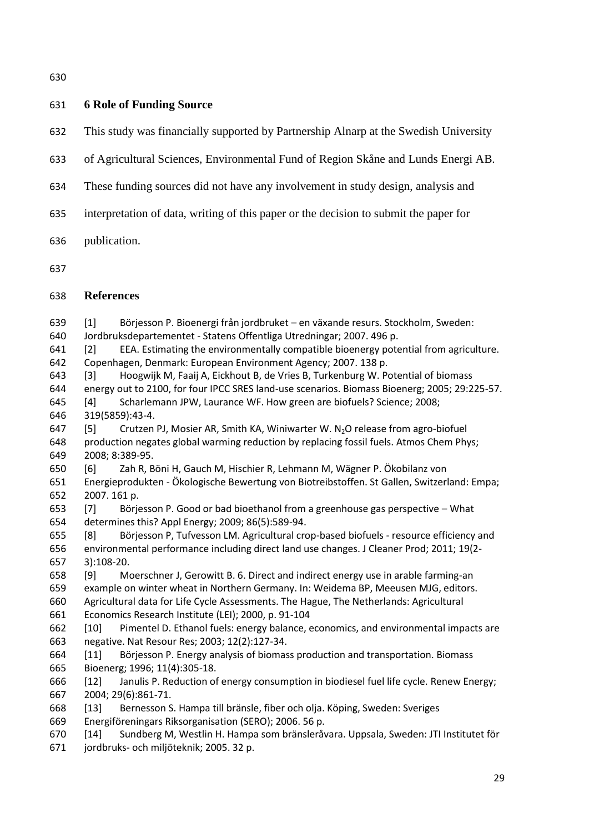# **6 Role of Funding Source**

- This study was financially supported by Partnership Alnarp at the Swedish University
- of Agricultural Sciences, Environmental Fund of Region Skåne and Lunds Energi AB.
- These funding sources did not have any involvement in study design, analysis and
- interpretation of data, writing of this paper or the decision to submit the paper for
- publication.
- 

# <span id="page-29-13"></span>**References**

- <span id="page-29-0"></span> [1] Börjesson P. Bioenergi från jordbruket – en växande resurs. Stockholm, Sweden: Jordbruksdepartementet - Statens Offentliga Utredningar; 2007. 496 p. [2] EEA. Estimating the environmentally compatible bioenergy potential from agriculture.
- Copenhagen, Denmark: European Environment Agency; 2007. 138 p.
- [3] Hoogwijk M, Faaij A, Eickhout B, de Vries B, Turkenburg W. Potential of biomass
- energy out to 2100, for four IPCC SRES land-use scenarios. Biomass Bioenerg; 2005; 29:225-57.
- <span id="page-29-1"></span>[4] Scharlemann JPW, Laurance WF. How green are biofuels? Science; 2008;
- <span id="page-29-12"></span>319(5859):43-4.
- <span id="page-29-2"></span>647 [5] Crutzen PJ, Mosier AR, Smith KA, Winiwarter W. N<sub>2</sub>O release from agro-biofuel production negates global warming reduction by replacing fossil fuels. Atmos Chem Phys; 2008; 8:389-95.
- <span id="page-29-3"></span>[6] Zah R, Böni H, Gauch M, Hischier R, Lehmann M, Wägner P. Ökobilanz von
- <span id="page-29-14"></span> Energieprodukten - Ökologische Bewertung von Biotreibstoffen. St Gallen, Switzerland: Empa; 2007. 161 p.
- <span id="page-29-4"></span> [7] Börjesson P. Good or bad bioethanol from a greenhouse gas perspective – What determines this? Appl Energy; 2009; 86(5):589-94.
- <span id="page-29-5"></span> [8] Börjesson P, Tufvesson LM. Agricultural crop-based biofuels - resource efficiency and environmental performance including direct land use changes. J Cleaner Prod; 2011; 19(2- 3):108-20.
- <span id="page-29-6"></span> [9] Moerschner J, Gerowitt B. 6. Direct and indirect energy use in arable farming-an example on winter wheat in Northern Germany. In: Weidema BP, Meeusen MJG, editors. Agricultural data for Life Cycle Assessments. The Hague, The Netherlands: Agricultural Economics Research Institute (LEI); 2000, p. 91-104
- <span id="page-29-7"></span> [10] Pimentel D. Ethanol fuels: energy balance, economics, and environmental impacts are negative. Nat Resour Res; 2003; 12(2):127-34.
- <span id="page-29-8"></span> [11] Börjesson P. Energy analysis of biomass production and transportation. Biomass Bioenerg; 1996; 11(4):305-18.
- <span id="page-29-9"></span> [12] Janulis P. Reduction of energy consumption in biodiesel fuel life cycle. Renew Energy; 2004; 29(6):861-71.
- <span id="page-29-10"></span>[13] Bernesson S. Hampa till bränsle, fiber och olja. Köping, Sweden: Sveriges
- Energiföreningars Riksorganisation (SERO); 2006. 56 p.
- <span id="page-29-11"></span> [14] Sundberg M, Westlin H. Hampa som bränsleråvara. Uppsala, Sweden: JTI Institutet för jordbruks- och miljöteknik; 2005. 32 p.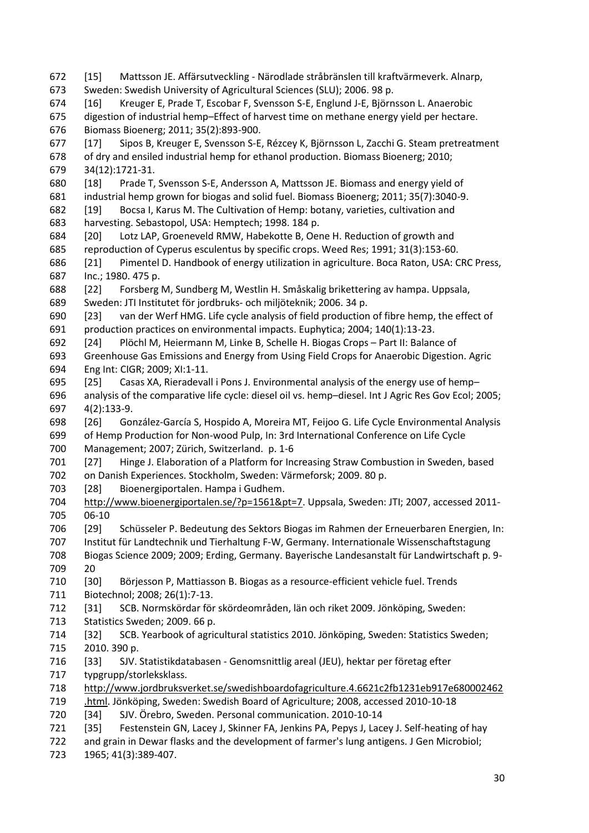<span id="page-30-25"></span><span id="page-30-24"></span><span id="page-30-23"></span><span id="page-30-22"></span><span id="page-30-21"></span><span id="page-30-20"></span><span id="page-30-19"></span><span id="page-30-18"></span><span id="page-30-17"></span><span id="page-30-16"></span><span id="page-30-15"></span><span id="page-30-14"></span><span id="page-30-13"></span><span id="page-30-12"></span><span id="page-30-11"></span><span id="page-30-10"></span><span id="page-30-9"></span><span id="page-30-8"></span><span id="page-30-7"></span><span id="page-30-6"></span><span id="page-30-5"></span><span id="page-30-4"></span><span id="page-30-3"></span><span id="page-30-2"></span><span id="page-30-1"></span><span id="page-30-0"></span> [15] Mattsson JE. Affärsutveckling - Närodlade stråbränslen till kraftvärmeverk. Alnarp, Sweden: Swedish University of Agricultural Sciences (SLU); 2006. 98 p. [16] Kreuger E, Prade T, Escobar F, Svensson S-E, Englund J-E, Björnsson L. Anaerobic digestion of industrial hemp–Effect of harvest time on methane energy yield per hectare. Biomass Bioenerg; 2011; 35(2):893-900. [17] Sipos B, Kreuger E, Svensson S-E, Rézcey K, Björnsson L, Zacchi G. Steam pretreatment of dry and ensiled industrial hemp for ethanol production. Biomass Bioenerg; 2010; 34(12):1721-31. [18] Prade T, Svensson S-E, Andersson A, Mattsson JE. Biomass and energy yield of industrial hemp grown for biogas and solid fuel. Biomass Bioenerg; 2011; 35(7):3040-9. [19] Bocsa I, Karus M. The Cultivation of Hemp: botany, varieties, cultivation and harvesting. Sebastopol, USA: Hemptech; 1998. 184 p. [20] Lotz LAP, Groeneveld RMW, Habekotte B, Oene H. Reduction of growth and reproduction of Cyperus esculentus by specific crops. Weed Res; 1991; 31(3):153-60. [21] Pimentel D. Handbook of energy utilization in agriculture. Boca Raton, USA: CRC Press, Inc.; 1980. 475 p. [22] Forsberg M, Sundberg M, Westlin H. Småskalig brikettering av hampa. Uppsala, Sweden: JTI Institutet för jordbruks- och miljöteknik; 2006. 34 p. [23] van der Werf HMG. Life cycle analysis of field production of fibre hemp, the effect of production practices on environmental impacts. Euphytica; 2004; 140(1):13-23. [24] Plöchl M, Heiermann M, Linke B, Schelle H. Biogas Crops – Part II: Balance of Greenhouse Gas Emissions and Energy from Using Field Crops for Anaerobic Digestion. Agric Eng Int: CIGR; 2009; XI:1-11. [25] Casas XA, Rieradevall i Pons J. Environmental analysis of the energy use of hemp– analysis of the comparative life cycle: diesel oil vs. hemp–diesel. Int J Agric Res Gov Ecol; 2005; 4(2):133-9. [26] González-García S, Hospido A, Moreira MT, Feijoo G. Life Cycle Environmental Analysis of Hemp Production for Non-wood Pulp, In: 3rd International Conference on Life Cycle Management; 2007; Zürich, Switzerland. p. 1-6 [27] Hinge J. Elaboration of a Platform for Increasing Straw Combustion in Sweden, based on Danish Experiences. Stockholm, Sweden: Värmeforsk; 2009. 80 p. [28] Bioenergiportalen. Hampa i Gudhem. [http://www.bioenergiportalen.se/?p=1561&pt=7.](http://www.bioenergiportalen.se/?p=1561&pt=7) Uppsala, Sweden: JTI; 2007, accessed 2011- 06-10 [29] Schüsseler P. Bedeutung des Sektors Biogas im Rahmen der Erneuerbaren Energien, In: Institut für Landtechnik und Tierhaltung F-W, Germany. Internationale Wissenschaftstagung Biogas Science 2009; 2009; Erding, Germany. Bayerische Landesanstalt für Landwirtschaft p. 9- 20 [30] Börjesson P, Mattiasson B. Biogas as a resource-efficient vehicle fuel. Trends Biotechnol; 2008; 26(1):7-13. [31] SCB. Normskördar för skördeområden, län och riket 2009. Jönköping, Sweden: Statistics Sweden; 2009. 66 p. [32] SCB. Yearbook of agricultural statistics 2010. Jönköping, Sweden: Statistics Sweden; 2010. 390 p. [33] SJV. Statistikdatabasen - Genomsnittlig areal (JEU), hektar per företag efter typgrupp/storleksklass. [http://www.jordbruksverket.se/swedishboardofagriculture.4.6621c2fb1231eb917e680002462](http://www.jordbruksverket.se/swedishboardofagriculture.4.6621c2fb1231eb917e680002462.html) [.html.](http://www.jordbruksverket.se/swedishboardofagriculture.4.6621c2fb1231eb917e680002462.html) Jönköping, Sweden: Swedish Board of Agriculture; 2008, accessed 2010-10-18 [34] SJV. Örebro, Sweden. Personal communication. 2010-10-14 [35] Festenstein GN, Lacey J, Skinner FA, Jenkins PA, Pepys J, Lacey J. Self-heating of hay and grain in Dewar flasks and the development of farmer's lung antigens. J Gen Microbiol; 1965; 41(3):389-407.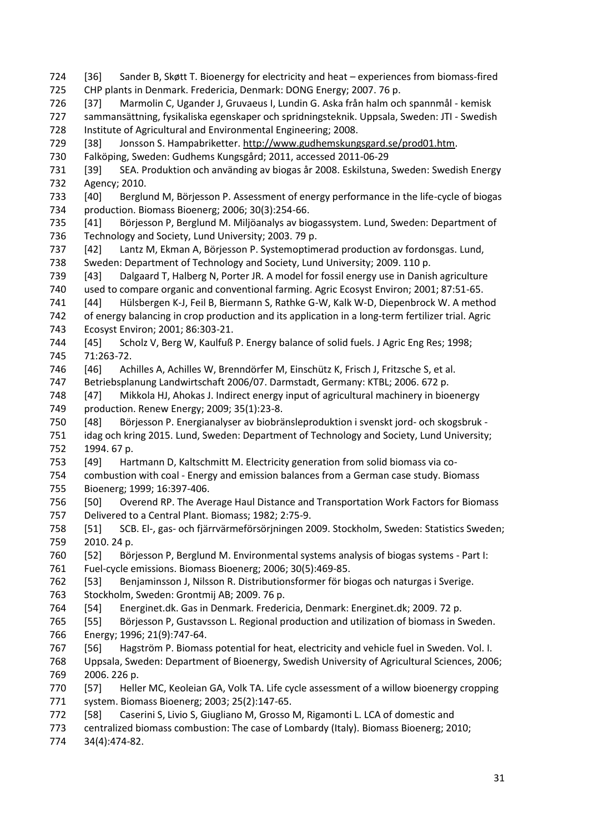<span id="page-31-29"></span><span id="page-31-28"></span><span id="page-31-27"></span><span id="page-31-26"></span><span id="page-31-25"></span><span id="page-31-24"></span><span id="page-31-23"></span><span id="page-31-22"></span><span id="page-31-17"></span><span id="page-31-9"></span><span id="page-31-8"></span><span id="page-31-7"></span><span id="page-31-6"></span><span id="page-31-5"></span><span id="page-31-4"></span><span id="page-31-3"></span><span id="page-31-2"></span><span id="page-31-1"></span><span id="page-31-0"></span> [36] Sander B, Skøtt T. Bioenergy for electricity and heat – experiences from biomass-fired CHP plants in Denmark. Fredericia, Denmark: DONG Energy; 2007. 76 p. [37] Marmolin C, Ugander J, Gruvaeus I, Lundin G. Aska från halm och spannmål - kemisk sammansättning, fysikaliska egenskaper och spridningsteknik. Uppsala, Sweden: JTI - Swedish Institute of Agricultural and Environmental Engineering; 2008. [38] Jonsson S. Hampabriketter[. http://www.gudhemskungsgard.se/prod01.htm.](http://www.gudhemskungsgard.se/prod01.htm) Falköping, Sweden: Gudhems Kungsgård; 2011, accessed 2011-06-29 [39] SEA. Produktion och använding av biogas år 2008. Eskilstuna, Sweden: Swedish Energy Agency; 2010. [40] Berglund M, Börjesson P. Assessment of energy performance in the life-cycle of biogas production. Biomass Bioenerg; 2006; 30(3):254-66. [41] Börjesson P, Berglund M. Miljöanalys av biogassystem. Lund, Sweden: Department of Technology and Society, Lund University; 2003. 79 p. [42] Lantz M, Ekman A, Börjesson P. Systemoptimerad production av fordonsgas. Lund, Sweden: Department of Technology and Society, Lund University; 2009. 110 p. [43] Dalgaard T, Halberg N, Porter JR. A model for fossil energy use in Danish agriculture used to compare organic and conventional farming. Agric Ecosyst Environ; 2001; 87:51-65. [44] Hülsbergen K-J, Feil B, Biermann S, Rathke G-W, Kalk W-D, Diepenbrock W. A method of energy balancing in crop production and its application in a long-term fertilizer trial. Agric Ecosyst Environ; 2001; 86:303-21. [45] Scholz V, Berg W, Kaulfuß P. Energy balance of solid fuels. J Agric Eng Res; 1998; 71:263-72. [46] Achilles A, Achilles W, Brenndörfer M, Einschütz K, Frisch J, Fritzsche S, et al. Betriebsplanung Landwirtschaft 2006/07. Darmstadt, Germany: KTBL; 2006. 672 p. [47] Mikkola HJ, Ahokas J. Indirect energy input of agricultural machinery in bioenergy production. Renew Energy; 2009; 35(1):23-8. [48] Börjesson P. Energianalyser av biobränsleproduktion i svenskt jord- och skogsbruk - idag och kring 2015. Lund, Sweden: Department of Technology and Society, Lund University; 1994. 67 p. [49] Hartmann D, Kaltschmitt M. Electricity generation from solid biomass via co- combustion with coal - Energy and emission balances from a German case study. Biomass Bioenerg; 1999; 16:397-406. [50] Overend RP. The Average Haul Distance and Transportation Work Factors for Biomass Delivered to a Central Plant. Biomass; 1982; 2:75-9. [51] SCB. El-, gas- och fjärrvärmeförsörjningen 2009. Stockholm, Sweden: Statistics Sweden; 2010. 24 p. [52] Börjesson P, Berglund M. Environmental systems analysis of biogas systems - Part I: Fuel-cycle emissions. Biomass Bioenerg; 2006; 30(5):469-85. [53] Benjaminsson J, Nilsson R. Distributionsformer för biogas och naturgas i Sverige. Stockholm, Sweden: Grontmij AB; 2009. 76 p. [54] Energinet.dk. Gas in Denmark. Fredericia, Denmark: Energinet.dk; 2009. 72 p. [55] Börjesson P, Gustavsson L. Regional production and utilization of biomass in Sweden. Energy; 1996; 21(9):747-64. [56] Hagström P. Biomass potential for heat, electricity and vehicle fuel in Sweden. Vol. I. Uppsala, Sweden: Department of Bioenergy, Swedish University of Agricultural Sciences, 2006; 2006. 226 p. [57] Heller MC, Keoleian GA, Volk TA. Life cycle assessment of a willow bioenergy cropping system. Biomass Bioenerg; 2003; 25(2):147-65. [58] Caserini S, Livio S, Giugliano M, Grosso M, Rigamonti L. LCA of domestic and centralized biomass combustion: The case of Lombardy (Italy). Biomass Bioenerg; 2010;

<span id="page-31-21"></span><span id="page-31-20"></span><span id="page-31-19"></span><span id="page-31-18"></span><span id="page-31-16"></span><span id="page-31-15"></span><span id="page-31-14"></span><span id="page-31-13"></span><span id="page-31-12"></span><span id="page-31-11"></span><span id="page-31-10"></span>34(4):474-82.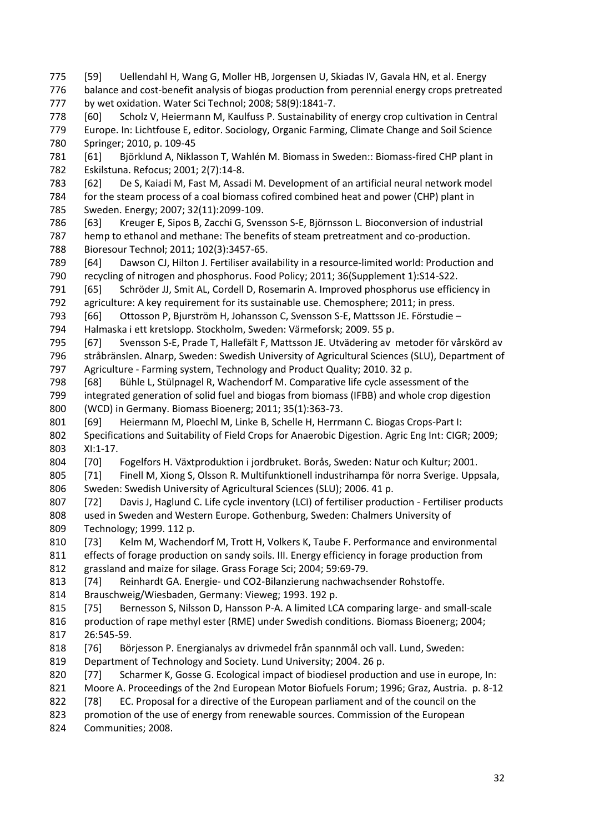<span id="page-32-16"></span><span id="page-32-14"></span><span id="page-32-13"></span><span id="page-32-9"></span><span id="page-32-8"></span><span id="page-32-7"></span><span id="page-32-6"></span><span id="page-32-5"></span><span id="page-32-4"></span><span id="page-32-3"></span><span id="page-32-2"></span><span id="page-32-1"></span><span id="page-32-0"></span> [59] Uellendahl H, Wang G, Moller HB, Jorgensen U, Skiadas IV, Gavala HN, et al. Energy balance and cost-benefit analysis of biogas production from perennial energy crops pretreated by wet oxidation. Water Sci Technol; 2008; 58(9):1841-7. [60] Scholz V, Heiermann M, Kaulfuss P. Sustainability of energy crop cultivation in Central Europe. In: Lichtfouse E, editor. Sociology, Organic Farming, Climate Change and Soil Science Springer; 2010, p. 109-45 [61] Björklund A, Niklasson T, Wahlén M. Biomass in Sweden:: Biomass-fired CHP plant in Eskilstuna. Refocus; 2001; 2(7):14-8. [62] De S, Kaiadi M, Fast M, Assadi M. Development of an artificial neural network model for the steam process of a coal biomass cofired combined heat and power (CHP) plant in Sweden. Energy; 2007; 32(11):2099-109. [63] Kreuger E, Sipos B, Zacchi G, Svensson S-E, Björnsson L. Bioconversion of industrial hemp to ethanol and methane: The benefits of steam pretreatment and co-production. Bioresour Technol; 2011; 102(3):3457-65. [64] Dawson CJ, Hilton J. Fertiliser availability in a resource-limited world: Production and recycling of nitrogen and phosphorus. Food Policy; 2011; 36(Supplement 1):S14-S22. [65] Schröder JJ, Smit AL, Cordell D, Rosemarin A. Improved phosphorus use efficiency in agriculture: A key requirement for its sustainable use. Chemosphere; 2011; in press. [66] Ottosson P, Bjurström H, Johansson C, Svensson S-E, Mattsson JE. Förstudie – Halmaska i ett kretslopp. Stockholm, Sweden: Värmeforsk; 2009. 55 p. [67] Svensson S-E, Prade T, Hallefält F, Mattsson JE. Utvädering av metoder för vårskörd av stråbränslen. Alnarp, Sweden: Swedish University of Agricultural Sciences (SLU), Department of Agriculture - Farming system, Technology and Product Quality; 2010. 32 p. [68] Bühle L, Stülpnagel R, Wachendorf M. Comparative life cycle assessment of the integrated generation of solid fuel and biogas from biomass (IFBB) and whole crop digestion (WCD) in Germany. Biomass Bioenerg; 2011; 35(1):363-73. 801 [69] Heiermann M, Ploechl M, Linke B, Schelle H, Herrmann C. Biogas Crops-Part I: Specifications and Suitability of Field Crops for Anaerobic Digestion. Agric Eng Int: CIGR; 2009; XI:1-17. [70] Fogelfors H. Växtproduktion i jordbruket. Borås, Sweden: Natur och Kultur; 2001. [71] Finell M, Xiong S, Olsson R. Multifunktionell industrihampa för norra Sverige. Uppsala, Sweden: Swedish University of Agricultural Sciences (SLU); 2006. 41 p. 807 [72] Davis J, Haglund C. Life cycle inventory (LCI) of fertiliser production - Fertiliser products used in Sweden and Western Europe. Gothenburg, Sweden: Chalmers University of Technology; 1999. 112 p. [73] Kelm M, Wachendorf M, Trott H, Volkers K, Taube F. Performance and environmental 811 effects of forage production on sandy soils. III. Energy efficiency in forage production from grassland and maize for silage. Grass Forage Sci; 2004; 59:69-79. [74] Reinhardt GA. Energie- und CO2-Bilanzierung nachwachsender Rohstoffe. Brauschweig/Wiesbaden, Germany: Vieweg; 1993. 192 p. [75] Bernesson S, Nilsson D, Hansson P-A. A limited LCA comparing large- and small-scale production of rape methyl ester (RME) under Swedish conditions. Biomass Bioenerg; 2004; 26:545-59. [76] Börjesson P. Energianalys av drivmedel från spannmål och vall. Lund, Sweden: Department of Technology and Society. Lund University; 2004. 26 p. 820 [77] Scharmer K, Gosse G. Ecological impact of biodiesel production and use in europe, In: Moore A. Proceedings of the 2nd European Motor Biofuels Forum; 1996; Graz, Austria. p. 8-12 [78] EC. Proposal for a directive of the European parliament and of the council on the promotion of the use of energy from renewable sources. Commission of the European

<span id="page-32-15"></span><span id="page-32-12"></span><span id="page-32-11"></span><span id="page-32-10"></span>Communities; 2008.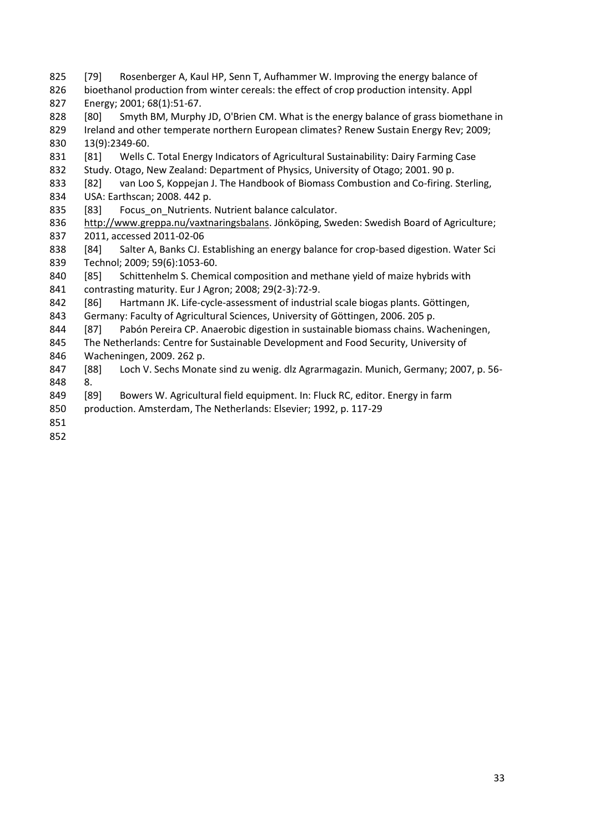- <span id="page-33-10"></span><span id="page-33-9"></span><span id="page-33-8"></span><span id="page-33-7"></span><span id="page-33-6"></span><span id="page-33-5"></span><span id="page-33-4"></span><span id="page-33-3"></span><span id="page-33-2"></span><span id="page-33-1"></span><span id="page-33-0"></span> [79] Rosenberger A, Kaul HP, Senn T, Aufhammer W. Improving the energy balance of bioethanol production from winter cereals: the effect of crop production intensity. Appl Energy; 2001; 68(1):51-67. [80] Smyth BM, Murphy JD, O'Brien CM. What is the energy balance of grass biomethane in Ireland and other temperate northern European climates? Renew Sustain Energy Rev; 2009; 13(9):2349-60. 831 [81] Wells C. Total Energy Indicators of Agricultural Sustainability: Dairy Farming Case Study. Otago, New Zealand: Department of Physics, University of Otago; 2001. 90 p. 833 [82] van Loo S, Koppejan J. The Handbook of Biomass Combustion and Co-firing. Sterling, USA: Earthscan; 2008. 442 p. [83] Focus\_on\_Nutrients. Nutrient balance calculator. [http://www.greppa.nu/vaxtnaringsbalans.](http://www.greppa.nu/vaxtnaringsbalans) Jönköping, Sweden: Swedish Board of Agriculture; 2011, accessed 2011-02-06 [84] Salter A, Banks CJ. Establishing an energy balance for crop-based digestion. Water Sci Technol; 2009; 59(6):1053-60. [85] Schittenhelm S. Chemical composition and methane yield of maize hybrids with contrasting maturity. Eur J Agron; 2008; 29(2-3):72-9. 842 [86] Hartmann JK. Life-cycle-assessment of industrial scale biogas plants. Göttingen, Germany: Faculty of Agricultural Sciences, University of Göttingen, 2006. 205 p. [87] Pabón Pereira CP. Anaerobic digestion in sustainable biomass chains. Wacheningen, The Netherlands: Centre for Sustainable Development and Food Security, University of Wacheningen, 2009. 262 p. [88] Loch V. Sechs Monate sind zu wenig. dlz Agrarmagazin. Munich, Germany; 2007, p. 56- 8. [89] Bowers W. Agricultural field equipment. In: Fluck RC, editor. Energy in farm production. Amsterdam, The Netherlands: Elsevier; 1992, p. 117-29
-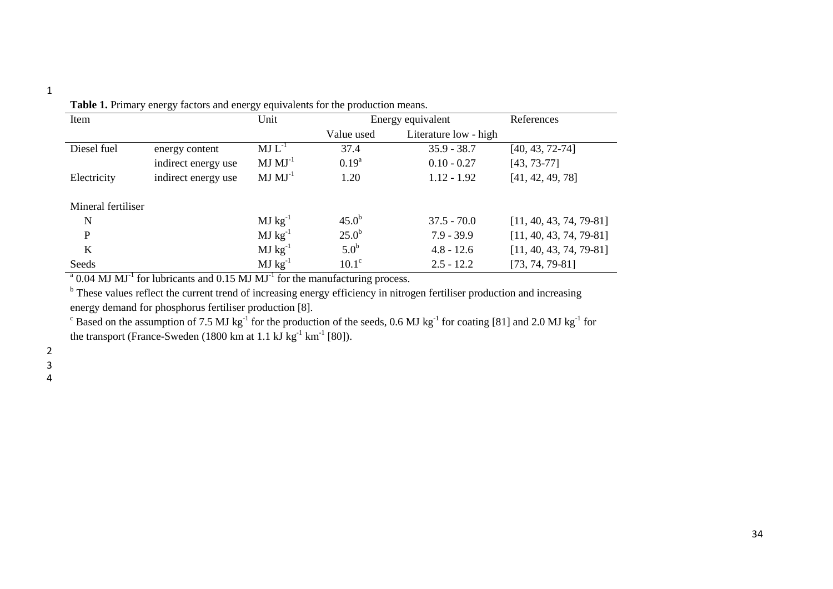| Item               |                     | Unit         |                   | Energy equivalent     | References                |
|--------------------|---------------------|--------------|-------------------|-----------------------|---------------------------|
|                    |                     |              | Value used        | Literature low - high |                           |
| Diesel fuel        | energy content      | $MJ L^{-1}$  | 37.4              | $35.9 - 38.7$         | $[40, 43, 72-74]$         |
|                    | indirect energy use | $MJ MJ-1$    | $0.19^{a}$        | $0.10 - 0.27$         | $[43, 73-77]$             |
| Electricity        | indirect energy use | $MJ MJ-1$    | 1.20              | $1.12 - 1.92$         | [41, 42, 49, 78]          |
| Mineral fertiliser |                     |              |                   |                       |                           |
| N                  |                     | $MJ kg^{-1}$ | 45.0 <sup>b</sup> | $37.5 - 70.0$         | $[11, 40, 43, 74, 79-81]$ |
| P                  |                     | $MJ kg^{-1}$ | $25.0^{\rm b}$    | $7.9 - 39.9$          | $[11, 40, 43, 74, 79-81]$ |
| K                  |                     | $MJ kg^{-1}$ | 5.0 <sup>b</sup>  | $4.8 - 12.6$          | $[11, 40, 43, 74, 79-81]$ |
| Seeds              |                     | $MJ kg^{-1}$ | $10.1^\circ$      | $2.5 - 12.2$          | $[73, 74, 79-81]$         |

**Table 1.** Primary energy factors and energy equivalents for the production means.

 $^{a}$  0.04 MJ MJ<sup>-1</sup> for lubricants and 0.15 MJ MJ<sup>-1</sup> for the manufacturing process.

<sup>b</sup> These values reflect the current trend of increasing energy efficiency in nitrogen fertiliser production and increasing energy demand for phosphorus fertiliser production [\[8\]](#page-29-13).

<sup>c</sup> Based on the assumption of 7.5 MJ kg<sup>-1</sup> for the production of the seeds, 0.6 MJ kg<sup>-1</sup> for coating [\[81\]](#page-33-1) and 2.0 MJ kg<sup>-1</sup> for the transport (France-Sweden (1800 km at 1.1 kJ kg $^{-1}$  km $^{-1}$  [\[80\]](#page-33-2)).

2 3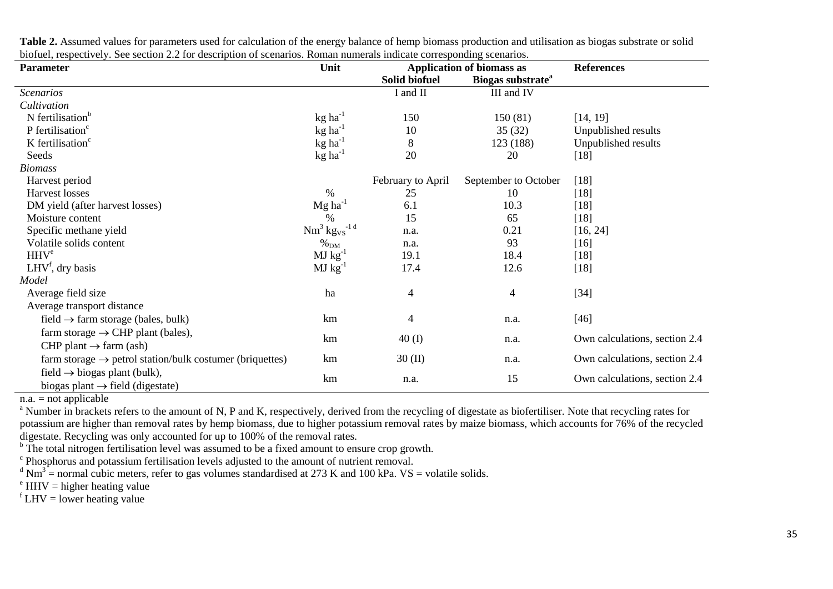| <b>Parameter</b>                                                     | Unit                                                    | <b>Application of biomass as</b> |                               | <b>References</b>             |
|----------------------------------------------------------------------|---------------------------------------------------------|----------------------------------|-------------------------------|-------------------------------|
|                                                                      |                                                         | Solid biofuel                    | Biogas substrate <sup>a</sup> |                               |
| <b>Scenarios</b>                                                     |                                                         | I and II                         | III and IV                    |                               |
| Cultivation                                                          |                                                         |                                  |                               |                               |
| N fertilisation <sup>b</sup>                                         | $kg ha^{-1}$                                            | 150                              | 150(81)                       | [14, 19]                      |
| P fertilisation <sup>c</sup>                                         | $kg$ ha <sup>-1</sup>                                   | 10                               | 35(32)                        | Unpublished results           |
| K fertilisation <sup>c</sup>                                         | $kg$ ha <sup>-1</sup>                                   | 8                                | 123 (188)                     | Unpublished results           |
| Seeds                                                                | $kg$ ha <sup>-1</sup>                                   | 20                               | 20                            | $[18]$                        |
| <b>Biomass</b>                                                       |                                                         |                                  |                               |                               |
| Harvest period                                                       |                                                         | February to April                | September to October          | $[18]$                        |
| <b>Harvest</b> losses                                                | $\%$                                                    | 25                               | 10                            | $[18]$                        |
| DM yield (after harvest losses)                                      | $Mg$ ha <sup>-1</sup>                                   | 6.1                              | 10.3                          | $[18]$                        |
| Moisture content                                                     | $\%$                                                    | 15                               | 65                            | $[18]$                        |
| Specific methane yield                                               | $\mbox{Nm}^3\mbox{~kg}\mbox{$_{\rm VS}$}^{-1\mbox{~d}}$ | n.a.                             | 0.21                          | [16, 24]                      |
| Volatile solids content                                              | $\%_{DM}$                                               | n.a.                             | 93                            | $[16]$                        |
| HHV <sup>e</sup>                                                     | $MJ kg^{-1}$                                            | 19.1                             | 18.4                          | $[18]$                        |
| $LHVt$ , dry basis                                                   | $MJ kg^{-1}$                                            | 17.4                             | 12.6                          | $[18]$                        |
| Model                                                                |                                                         |                                  |                               |                               |
| Average field size                                                   | ha                                                      | 4                                | $\overline{4}$                | $[34]$                        |
| Average transport distance                                           |                                                         |                                  |                               |                               |
| field $\rightarrow$ farm storage (bales, bulk)                       | km                                                      | $\overline{4}$                   | n.a.                          | $[46]$                        |
| farm storage $\rightarrow$ CHP plant (bales),                        |                                                         |                                  |                               |                               |
| CHP plant $\rightarrow$ farm (ash)                                   | km                                                      | $40$ (I)                         | n.a.                          | Own calculations, section 2.4 |
| farm storage $\rightarrow$ petrol station/bulk costumer (briquettes) | km                                                      | $30 \left( \text{II} \right)$    | n.a.                          | Own calculations, section 2.4 |
| field $\rightarrow$ biogas plant (bulk),                             | km                                                      | n.a.                             | 15                            | Own calculations, section 2.4 |
| biogas plant $\rightarrow$ field (digestate)                         |                                                         |                                  |                               |                               |

**Table 2.** Assumed values for parameters used for calculation of the energy balance of hemp biomass production and utilisation as biogas substrate or solid biofuel, respectively. See section 2.2 for description of scenarios. Roman numerals indicate corresponding scenarios.

 $n.a. = not applicable$ 

<sup>a</sup> Number in brackets refers to the amount of N, P and K, respectively, derived from the recycling of digestate as biofertiliser. Note that recycling rates for potassium are higher than removal rates by hemp biomass, due to higher potassium removal rates by maize biomass, which accounts for 76% of the recycled digestate. Recycling was only accounted for up to 100% of the removal rates.

<sup>b</sup> The total nitrogen fertilisation level was assumed to be a fixed amount to ensure crop growth.

<sup>c</sup> Phosphorus and potassium fertilisation levels adjusted to the amount of nutrient removal.

 $d$  Nm<sup>3</sup> = normal cubic meters, refer to gas volumes standardised at 273 K and 100 kPa. VS = volatile solids.

 $e$  HHV = higher heating value

 $f$  LHV = lower heating value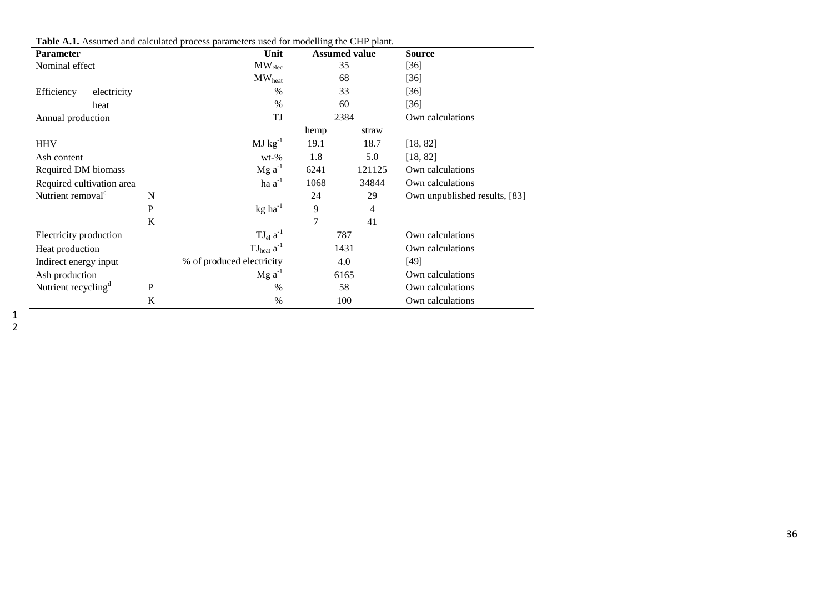| <b>Parameter</b>                |              | Unit                      |                | <b>Assumed value</b> | <b>Source</b>                 |
|---------------------------------|--------------|---------------------------|----------------|----------------------|-------------------------------|
| Nominal effect                  |              | $MW_{elec}$               |                | 35                   | $[36]$                        |
|                                 |              | $MW_{heat}$               | 68             |                      | $[36]$                        |
| Efficiency<br>electricity       |              | $\%$                      |                | 33                   | $[36]$                        |
| heat                            |              | $\%$                      |                | 60                   | $[36]$                        |
| Annual production               |              | TJ                        |                | 2384                 | Own calculations              |
|                                 |              |                           | hemp           | straw                |                               |
| <b>HHV</b>                      |              | $MJ kg^{-1}$              | 19.1           | 18.7                 | [18, 82]                      |
| Ash content                     |              | $wt-%$                    | 1.8<br>5.0     |                      | [18, 82]                      |
| Required DM biomass             |              | $Mg a^{-1}$               | 6241<br>121125 |                      | Own calculations              |
| Required cultivation area       |              | ha $a^{-1}$               | 1068<br>34844  |                      | Own calculations              |
| Nutrient removal <sup>c</sup>   | N            |                           | 24             | 29                   | Own unpublished results, [83] |
|                                 | $\mathbf{P}$ | $kg$ ha <sup>-1</sup>     | 9              | 4                    |                               |
|                                 | K            |                           | 7              | 41                   |                               |
| Electricity production          |              | $TJel a-1$                |                | 787                  | Own calculations              |
| Heat production                 |              | $TJ_{heat}$ $a^{-1}$      |                | 1431                 | Own calculations              |
| Indirect energy input           |              | % of produced electricity | 4.0            |                      | $[49]$                        |
| Ash production                  |              | $Mg a^{-1}$               | 6165           |                      | Own calculations              |
| Nutrient recycling <sup>d</sup> | P            | $\%$                      |                | 58                   | Own calculations              |
|                                 | K            | $\%$                      |                | 100                  | Own calculations              |

**Table A.1.** Assumed and calculated process parameters used for modelling the CHP plant.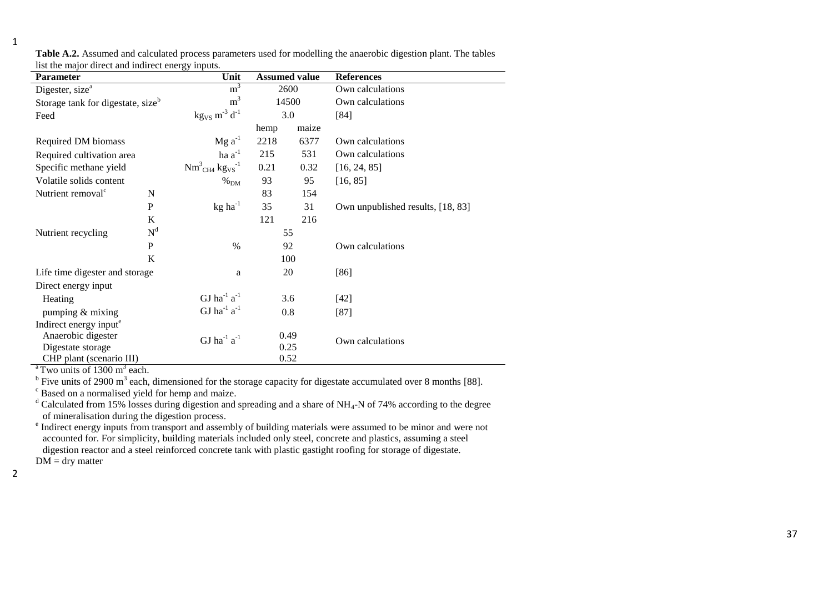| ۰.  |
|-----|
| . . |
|     |

| <b>Parameter</b>                              |                | Unit                                             |       | <b>Assumed value</b> | <b>References</b>                 |
|-----------------------------------------------|----------------|--------------------------------------------------|-------|----------------------|-----------------------------------|
| Digester, size <sup>a</sup>                   |                | m <sup>3</sup>                                   |       | 2600                 | Own calculations                  |
| Storage tank for digestate, size <sup>b</sup> |                | m <sup>3</sup>                                   | 14500 |                      | Own calculations                  |
| Feed                                          |                | $kgVS m-3 d-1$                                   |       | 3.0                  | [84]                              |
|                                               |                |                                                  | hemp  | maize                |                                   |
| Required DM biomass                           |                | $Mg a^{-1}$                                      | 2218  | 6377                 | Own calculations                  |
| Required cultivation area                     |                | ha $a^{-1}$                                      | 215   | 531                  | Own calculations                  |
| Specific methane yield                        |                | $Nm_{CH4}^{3}$ kg <sub>vs</sub> <sup>-1</sup>    | 0.21  | 0.32                 | [16, 24, 85]                      |
| Volatile solids content                       |                | $\%_{DM}$                                        | 93    | 95                   | [16, 85]                          |
| Nutrient removal <sup>c</sup>                 | N              |                                                  | 83    | 154                  |                                   |
|                                               | P              | $kg$ ha <sup>-1</sup>                            | 35    | 31                   | Own unpublished results, [18, 83] |
|                                               | K              |                                                  | 121   | 216                  |                                   |
| Nutrient recycling                            | N <sup>d</sup> |                                                  |       | 55                   |                                   |
|                                               | P              | $\%$                                             |       | 92                   | Own calculations                  |
|                                               | K              |                                                  |       | 100                  |                                   |
| Life time digester and storage                |                | a                                                |       | 20                   | $[86]$                            |
| Direct energy input                           |                |                                                  |       |                      |                                   |
| Heating                                       |                | GJ ha $^{-1}$ a $^{-1}$                          |       | 3.6                  | $[42]$                            |
| pumping & mixing                              |                | GJ $ha^{-1} a^{-1}$                              |       | 0.8                  | $[87]$                            |
| Indirect energy input <sup>e</sup>            |                |                                                  |       |                      |                                   |
| Anaerobic digester                            |                | $\mathrm{GJ}\ \mathrm{ha}^{-1}\ \mathrm{a}^{-1}$ |       | 0.49                 | Own calculations                  |
| Digestate storage                             |                |                                                  |       | 0.25                 |                                   |
| CHP plant (scenario III)                      |                |                                                  |       | 0.52                 |                                   |

**Table A.2.** Assumed and calculated process parameters used for modelling the anaerobic digestion plant. The tables list the major direct and indirect energy inputs.

 $\mathrm{^{a}T}$  wo units of 1300 m<sup>3</sup> each.

<sup>b</sup> Five units of 2900 m<sup>3</sup> each, dimensioned for the storage capacity for digestate accumulated over 8 months [\[88](#page-33-9)].

 $\sigma$ <sup>d</sup> Calculated from 15% losses during digestion and spreading and a share of NH<sub>4</sub>-N of 74% according to the degree of mineralisation during the digestion process.

<sup>e</sup> Indirect energy inputs from transport and assembly of building materials were assumed to be minor and were not accounted for. For simplicity , building materials include d only steel, concrete and plastics, assuming a steel digestion reactor and a steel reinforced concrete tank with plastic gastight roofing for storage of digestate.

 $DM = dry$  matter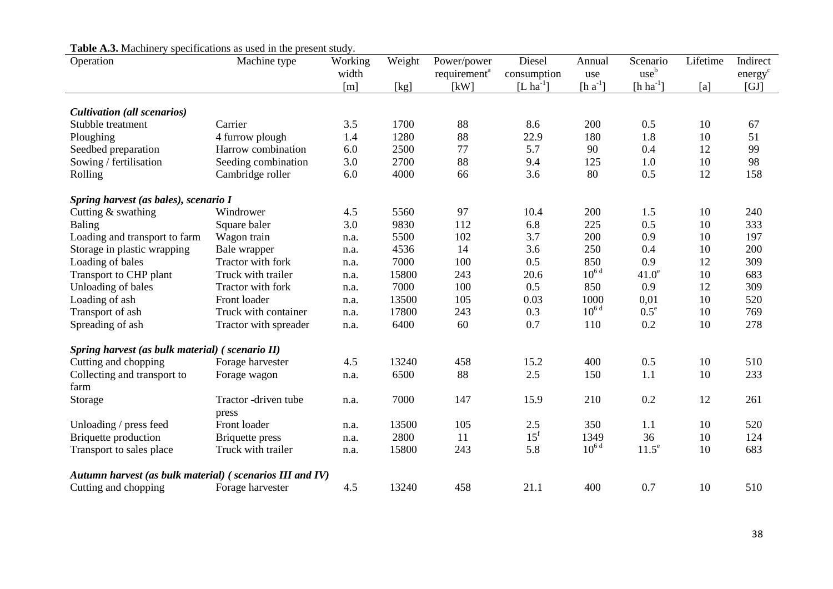# **Table A.3.** Machinery specifications as used in the present study.

| <b>radic A.S.</b> Machinery specifications as used in the present study.<br>Operation | Machine type          | Working<br>width | Weight | Power/power<br>requirement <sup>a</sup> | Diesel<br>consumption | Annual<br>use | Scenario<br>use <sup>b</sup> | Lifetime | Indirect<br>energy <sup>c</sup> |
|---------------------------------------------------------------------------------------|-----------------------|------------------|--------|-----------------------------------------|-----------------------|---------------|------------------------------|----------|---------------------------------|
|                                                                                       |                       | [m]              | [kg]   | [kW]                                    | $[L ha^{-1}]$         | $[h a^{-1}]$  | $[h ha^{-1}]$                | [a]      | [GJ]                            |
|                                                                                       |                       |                  |        |                                         |                       |               |                              |          |                                 |
| Cultivation (all scenarios)                                                           |                       |                  |        |                                         |                       |               |                              |          |                                 |
| Stubble treatment                                                                     | Carrier               | 3.5              | 1700   | 88                                      | 8.6                   | 200           | 0.5                          | 10       | 67                              |
| Ploughing                                                                             | 4 furrow plough       | 1.4              | 1280   | 88                                      | 22.9                  | 180           | 1.8                          | 10       | 51                              |
| Seedbed preparation                                                                   | Harrow combination    | 6.0              | 2500   | 77                                      | 5.7                   | 90            | 0.4                          | 12       | 99                              |
| Sowing / fertilisation                                                                | Seeding combination   | 3.0              | 2700   | 88                                      | 9.4                   | 125           | 1.0                          | 10       | 98                              |
| Rolling                                                                               | Cambridge roller      | 6.0              | 4000   | 66                                      | 3.6                   | 80            | 0.5                          | 12       | 158                             |
| Spring harvest (as bales), scenario I                                                 |                       |                  |        |                                         |                       |               |                              |          |                                 |
| Cutting & swathing                                                                    | Windrower             | 4.5              | 5560   | 97                                      | 10.4                  | 200           | 1.5                          | 10       | 240                             |
| <b>Baling</b>                                                                         | Square baler          | 3.0              | 9830   | 112                                     | 6.8                   | 225           | 0.5                          | 10       | 333                             |
| Loading and transport to farm                                                         | Wagon train           | n.a.             | 5500   | 102                                     | 3.7                   | 200           | 0.9                          | 10       | 197                             |
| Storage in plastic wrapping                                                           | Bale wrapper          | n.a.             | 4536   | 14                                      | 3.6                   | 250           | 0.4                          | 10       | 200                             |
| Loading of bales                                                                      | Tractor with fork     | n.a.             | 7000   | 100                                     | 0.5                   | 850           | 0.9                          | 12       | 309                             |
| Transport to CHP plant                                                                | Truck with trailer    | n.a.             | 15800  | 243                                     | 20.6                  | $10^{6d}$     | 41.0 <sup>e</sup>            | 10       | 683                             |
| Unloading of bales                                                                    | Tractor with fork     | n.a.             | 7000   | 100                                     | 0.5                   | 850           | 0.9                          | 12       | 309                             |
| Loading of ash                                                                        | Front loader          | n.a.             | 13500  | 105                                     | 0.03                  | 1000          | 0,01                         | 10       | 520                             |
| Transport of ash                                                                      | Truck with container  | n.a.             | 17800  | 243                                     | 0.3                   | $10^{6d}$     | $0.5^e$                      | 10       | 769                             |
| Spreading of ash                                                                      | Tractor with spreader | n.a.             | 6400   | 60                                      | 0.7                   | 110           | 0.2                          | 10       | 278                             |
| Spring harvest (as bulk material) (scenario II)                                       |                       |                  |        |                                         |                       |               |                              |          |                                 |
| Cutting and chopping                                                                  | Forage harvester      | 4.5              | 13240  | 458                                     | 15.2                  | 400           | 0.5                          | 10       | 510                             |
| Collecting and transport to                                                           | Forage wagon          | n.a.             | 6500   | 88                                      | 2.5                   | 150           | 1.1                          | 10       | 233                             |
| farm                                                                                  |                       |                  |        |                                         |                       |               |                              |          |                                 |
| Storage                                                                               | Tractor -driven tube  | n.a.             | 7000   | 147                                     | 15.9                  | 210           | 0.2                          | 12       | 261                             |
|                                                                                       | press                 |                  |        |                                         |                       |               |                              |          |                                 |
| Unloading / press feed                                                                | Front loader          | n.a.             | 13500  | 105                                     | 2.5                   | 350           | 1.1                          | 10       | 520                             |
| Briquette production                                                                  | Briquette press       | n.a.             | 2800   | 11                                      | $15^{\rm f}$          | 1349          | 36                           | 10       | 124                             |
| Transport to sales place                                                              | Truck with trailer    | n.a.             | 15800  | 243                                     | 5.8                   | $10^{6 d}$    | $11.5^e$                     | 10       | 683                             |
| Autumn harvest (as bulk material) (scenarios III and IV)                              |                       |                  |        |                                         |                       |               |                              |          |                                 |
| Cutting and chopping                                                                  | Forage harvester      | 4.5              | 13240  | 458                                     | 21.1                  | 400           | 0.7                          | 10       | 510                             |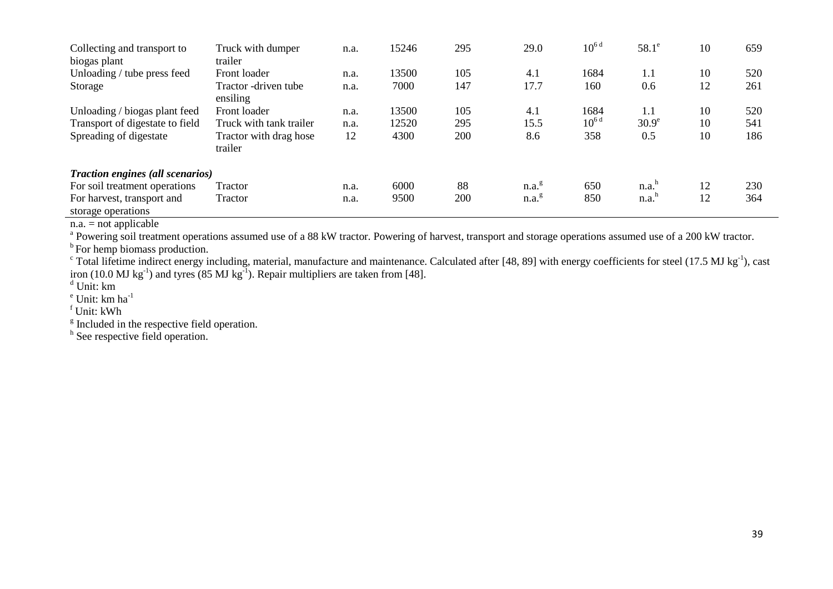| Collecting and transport to<br>biogas plant      | Truck with dumper<br>trailer      | n.a. | 15246 | 295 | 29.0              | $10^{6 d}$ | $58.1^\circ$      | 10 | 659 |
|--------------------------------------------------|-----------------------------------|------|-------|-----|-------------------|------------|-------------------|----|-----|
| Unloading / tube press feed                      | Front loader                      | n.a. | 13500 | 105 | 4.1               | 1684       | 1.1               | 10 | 520 |
| Storage                                          | Tractor -driven tube<br>ensiling  | n.a. | 7000  | 147 | 17.7              | 160        | 0.6               | 12 | 261 |
| Unloading / biogas plant feed                    | Front loader                      | n.a. | 13500 | 105 | 4.1               | 1684       | 1.1               | 10 | 520 |
| Transport of digestate to field                  | Truck with tank trailer           | n.a. | 12520 | 295 | 15.5              | $10^{6d}$  | $30.9^\circ$      | 10 | 541 |
| Spreading of digestate                           | Tractor with drag hose<br>trailer | 12   | 4300  | 200 | 8.6               | 358        | 0.5               | 10 | 186 |
| <b>Traction engines (all scenarios)</b>          |                                   |      |       |     |                   |            |                   |    |     |
| For soil treatment operations                    | Tractor                           | n.a. | 6000  | 88  | n.a. <sup>g</sup> | 650        | n.a. <sup>h</sup> | 12 | 230 |
| For harvest, transport and<br>storage operations | Tractor                           | n.a. | 9500  | 200 | n.a. <sup>g</sup> | 850        | n.a. <sup>h</sup> | 12 | 364 |

 $n.a. = not applicable$ 

<sup>a</sup> Powering soil treatment operations assumed use of a 88 kW tractor. Powering of harvest, transport and storage operations assumed use of a 200 kW tractor.

 $<sup>b</sup>$  For hemp biomass production.</sup>

 $\rm c$  Total lifetime indirect energy including, material, manufacture and maintenance. Calculated after [\[48,](#page-31-29) [89\]](#page-33-10) with energy coefficients for steel (17.5 MJ kg<sup>-1</sup>), cast iron (10.0 MJ kg<sup>-1</sup>) and tyres (85 MJ kg<sup>-1</sup>). Repair multipliers are taken from [\[48\]](#page-31-29).

 $d$  Unit: km

 $e$  Unit: km ha<sup>-1</sup>

<sup>f</sup> Unit: kWh

<sup>g</sup> Included in the respective field operation.

<sup>h</sup> See respective field operation.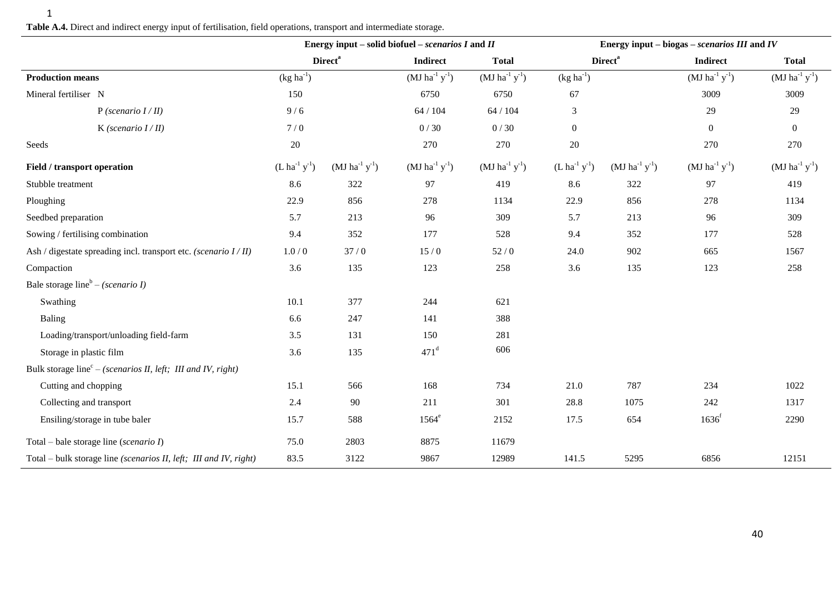**Table A.4.** Direct and indirect energy input of fertilisation, field operations, transport and intermediate storage.

|                                                                          |                      |                            | Energy input – solid biofuel – scenarios $I$ and $II$ |                       | Energy input – biogas – scenarios III and $IV$ |                            |                       |                       |
|--------------------------------------------------------------------------|----------------------|----------------------------|-------------------------------------------------------|-----------------------|------------------------------------------------|----------------------------|-----------------------|-----------------------|
|                                                                          |                      | <b>Direct</b> <sup>a</sup> | <b>Indirect</b>                                       | <b>Total</b>          |                                                | <b>Direct</b> <sup>a</sup> | <b>Indirect</b>       | <b>Total</b>          |
| <b>Production means</b>                                                  | $(kg ha-1)$          |                            | $(MJ ha^{-1} y^{-1})$                                 | $(MJ ha-1 y-1)$       | $(kg ha^{-1})$                                 |                            | $(MJ ha^{-1} y^{-1})$ | $(MJ ha^{-1} y^{-1})$ |
| Mineral fertiliser N                                                     | 150                  |                            | 6750                                                  | 6750                  | 67                                             |                            | 3009                  | 3009                  |
| $P$ (scenario $I/II$ )                                                   | 9/6                  |                            | 64 / 104                                              | 64 / 104              | 3                                              |                            | 29                    | 29                    |
| K (scenario $I/H$ )                                                      | 7/0                  |                            | 0/30                                                  | 0/30                  | $\mathbf{0}$                                   |                            | $\boldsymbol{0}$      | $\overline{0}$        |
| Seeds                                                                    | $20\,$               |                            | 270                                                   | 270                   | $20\,$                                         |                            | 270                   | 270                   |
| Field / transport operation                                              | $(L ha^{-1} y^{-1})$ | $(MJ ha^{-1} y^{-1})$      | $(MJ ha^{-1} y^{-1})$                                 | $(MJ ha^{-1} y^{-1})$ | $(L ha^{-1} y^{-1})$                           | $(MJ ha^{-1} y^{-1})$      | $(MJ ha^{-1} y^{-1})$ | $(MJ ha^{-1} y^{-1})$ |
| Stubble treatment                                                        | 8.6                  | 322                        | 97                                                    | 419                   | 8.6                                            | 322                        | 97                    | 419                   |
| Ploughing                                                                | 22.9                 | 856                        | 278                                                   | 1134                  | 22.9                                           | 856                        | 278                   | 1134                  |
| Seedbed preparation                                                      | 5.7                  | 213                        | 96                                                    | 309                   | 5.7                                            | 213                        | 96                    | 309                   |
| Sowing / fertilising combination                                         | 9.4                  | 352                        | 177                                                   | 528                   | 9.4                                            | 352                        | 177                   | 528                   |
| Ash / digestate spreading incl. transport etc. (scenario I/II)           | 1.0/0                | 37/0                       | 15/0                                                  | 52/0                  | 24.0                                           | 902                        | 665                   | 1567                  |
| Compaction                                                               | 3.6                  | 135                        | 123                                                   | 258                   | 3.6                                            | 135                        | 123                   | 258                   |
| Bale storage $lineb - (scenario I)$                                      |                      |                            |                                                       |                       |                                                |                            |                       |                       |
| Swathing                                                                 | 10.1                 | 377                        | 244                                                   | 621                   |                                                |                            |                       |                       |
| <b>Baling</b>                                                            | 6.6                  | 247                        | 141                                                   | 388                   |                                                |                            |                       |                       |
| Loading/transport/unloading field-farm                                   | 3.5                  | 131                        | 150                                                   | 281                   |                                                |                            |                       |                       |
| Storage in plastic film                                                  | 3.6                  | 135                        | $471$ <sup>d</sup>                                    | 606                   |                                                |                            |                       |                       |
| Bulk storage line <sup>c</sup> – (scenarios II, left; III and IV, right) |                      |                            |                                                       |                       |                                                |                            |                       |                       |
| Cutting and chopping                                                     | 15.1                 | 566                        | 168                                                   | 734                   | 21.0                                           | 787                        | 234                   | 1022                  |
| Collecting and transport                                                 | 2.4                  | 90                         | 211                                                   | 301                   | 28.8                                           | 1075                       | 242                   | 1317                  |
| Ensiling/storage in tube baler                                           | 15.7                 | 588                        | $1564^\mathrm{e}$                                     | 2152                  | 17.5                                           | 654                        | 1636 <sup>f</sup>     | 2290                  |
| Total – bale storage line (scenario I)                                   | 75.0                 | 2803                       | 8875                                                  | 11679                 |                                                |                            |                       |                       |
| Total – bulk storage line (scenarios II, left; III and IV, right)        | 83.5                 | 3122                       | 9867                                                  | 12989                 | 141.5                                          | 5295                       | 6856                  | 12151                 |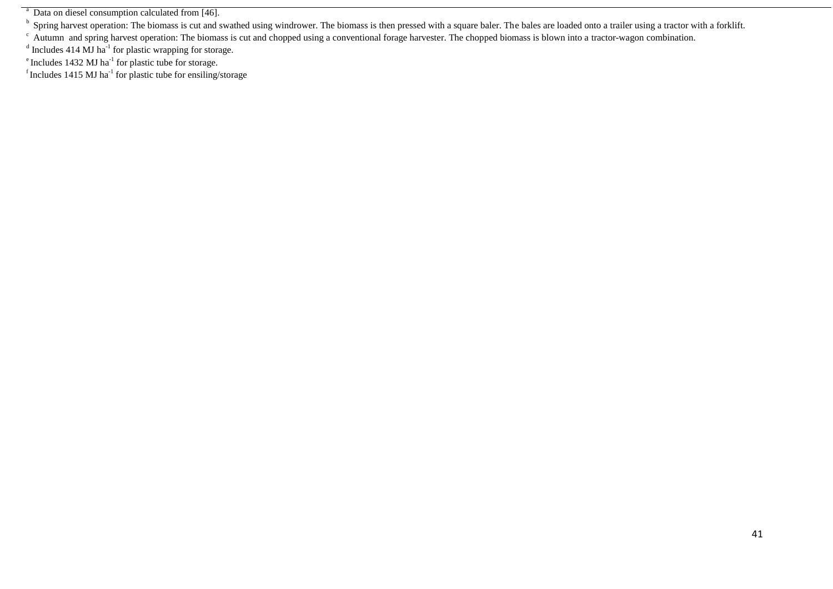<sup>b</sup> Spring harvest operation: The biomass is cut and swathed using windrower. The biomass is then pressed with a square baler. The bales are loaded onto a trailer using a tractor with a forklift.

<sup>c</sup> Autumn and spring harvest operation: The biomass is cut and chopped using a conventional forage harvester. The chopped biomass is blown into a tractor-wagon combination.

<sup>d</sup> Includes 414 MJ ha<sup>-1</sup> for plastic wrapping for storage.<br>
<sup>e</sup> Includes 1432 MJ ha<sup>-1</sup> for plastic tube for storage.<br>
<sup>f</sup> Includes 1415 MJ ha<sup>-1</sup> for plastic tube for ensiling/storage

<sup>&</sup>lt;sup>a</sup> Data on diesel consumption calculated from [\[46\]](#page-31-27).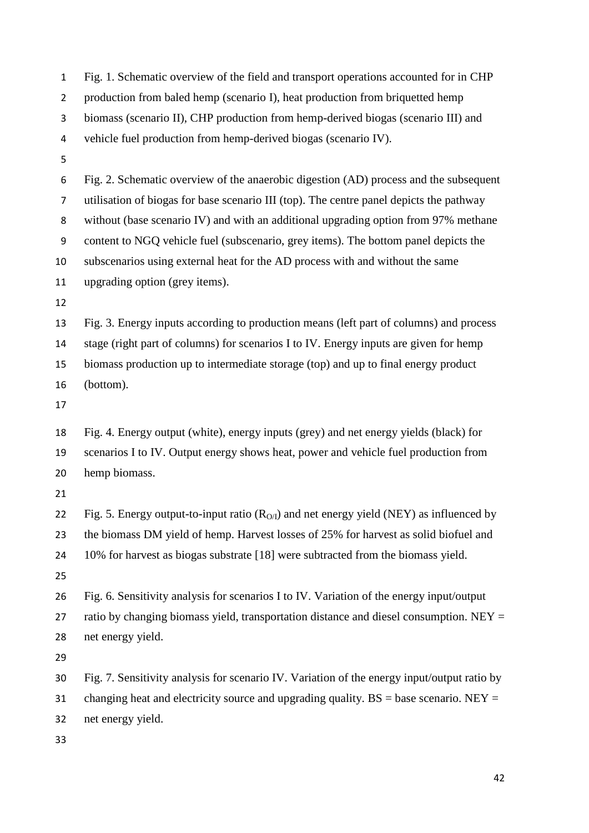| $\mathbf{1}$   | Fig. 1. Schematic overview of the field and transport operations accounted for in CHP        |
|----------------|----------------------------------------------------------------------------------------------|
| $\overline{2}$ | production from baled hemp (scenario I), heat production from briquetted hemp                |
| 3              | biomass (scenario II), CHP production from hemp-derived biogas (scenario III) and            |
| 4              | vehicle fuel production from hemp-derived biogas (scenario IV).                              |
| 5              |                                                                                              |
| 6              | Fig. 2. Schematic overview of the anaerobic digestion (AD) process and the subsequent        |
| $\overline{7}$ | utilisation of biogas for base scenario III (top). The centre panel depicts the pathway      |
| 8              | without (base scenario IV) and with an additional upgrading option from 97% methane          |
| 9              | content to NGQ vehicle fuel (subscenario, grey items). The bottom panel depicts the          |
| 10             | subscenarios using external heat for the AD process with and without the same                |
| 11             | upgrading option (grey items).                                                               |
| 12             |                                                                                              |
| 13             | Fig. 3. Energy inputs according to production means (left part of columns) and process       |
| 14             | stage (right part of columns) for scenarios I to IV. Energy inputs are given for hemp        |
| 15             | biomass production up to intermediate storage (top) and up to final energy product           |
| 16             | (bottom).                                                                                    |
| 17             |                                                                                              |
| 18             | Fig. 4. Energy output (white), energy inputs (grey) and net energy yields (black) for        |
| 19             | scenarios I to IV. Output energy shows heat, power and vehicle fuel production from          |
| 20             | hemp biomass.                                                                                |
| 21             |                                                                                              |
| 22             | Fig. 5. Energy output-to-input ratio $(R_{O/I})$ and net energy yield (NEY) as influenced by |
| 23             | the biomass DM yield of hemp. Harvest losses of 25% for harvest as solid biofuel and         |
| 24             | 10% for harvest as biogas substrate [18] were subtracted from the biomass yield.             |
| 25             |                                                                                              |
| 26             | Fig. 6. Sensitivity analysis for scenarios I to IV. Variation of the energy input/output     |
| 27             | ratio by changing biomass yield, transportation distance and diesel consumption. $NEY =$     |
| 28             | net energy yield.                                                                            |
| 29             |                                                                                              |
| 30             | Fig. 7. Sensitivity analysis for scenario IV. Variation of the energy input/output ratio by  |
| 31             | changing heat and electricity source and upgrading quality. $BS = base$ scenario. NEY =      |
| 32             | net energy yield.                                                                            |
| 33             |                                                                                              |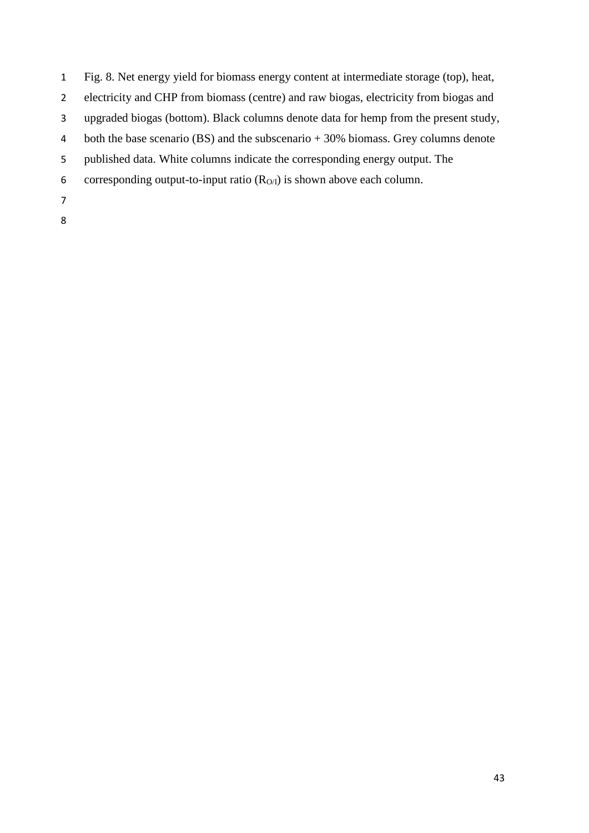Fig. 8. Net energy yield for biomass energy content at intermediate storage (top), heat, electricity and CHP from biomass (centre) and raw biogas, electricity from biogas and upgraded biogas (bottom). Black columns denote data for hemp from the present study,

both the base scenario (BS) and the subscenario + 30% biomass. Grey columns denote

published data. White columns indicate the corresponding energy output. The

6 corresponding output-to-input ratio  $(R<sub>O/I</sub>)$  is shown above each column.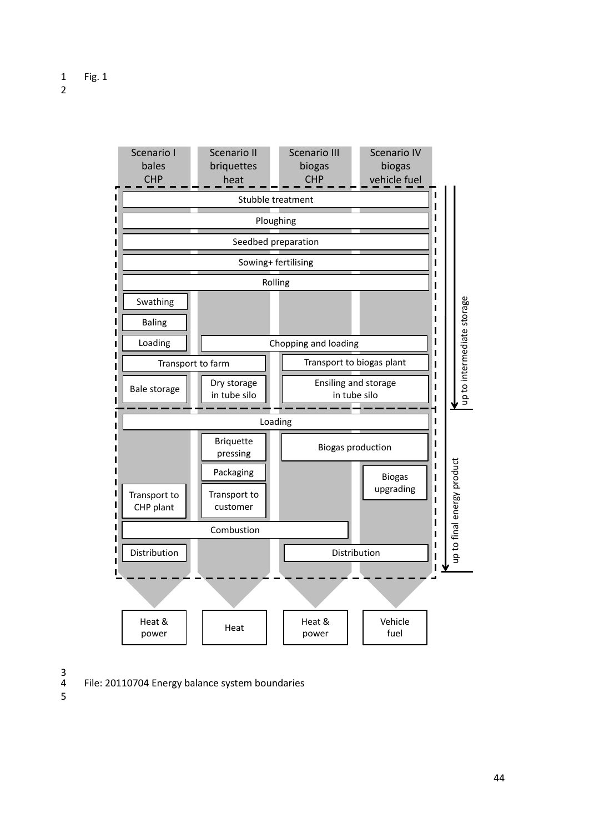

File: 20110704 Energy balance system boundaries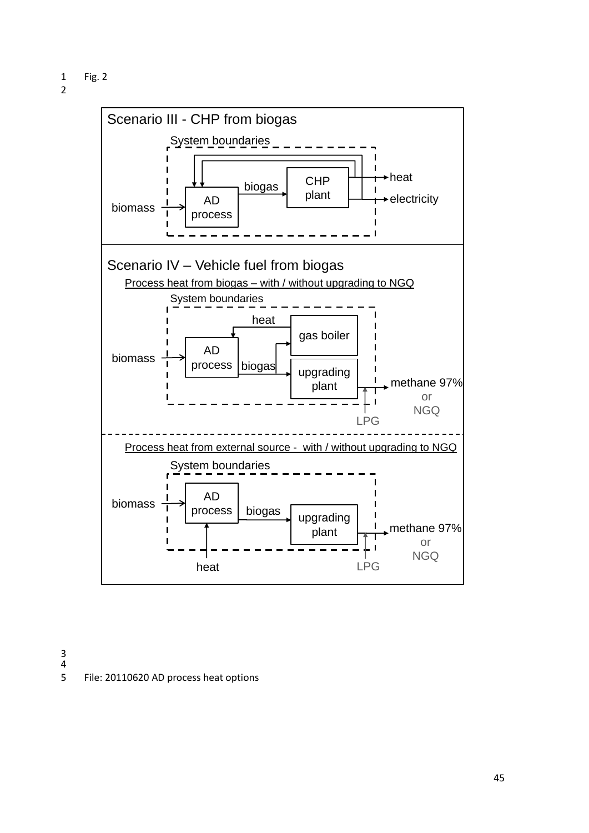1 Fig. 2



3

 $\frac{4}{5}$ File: 20110620 AD process heat options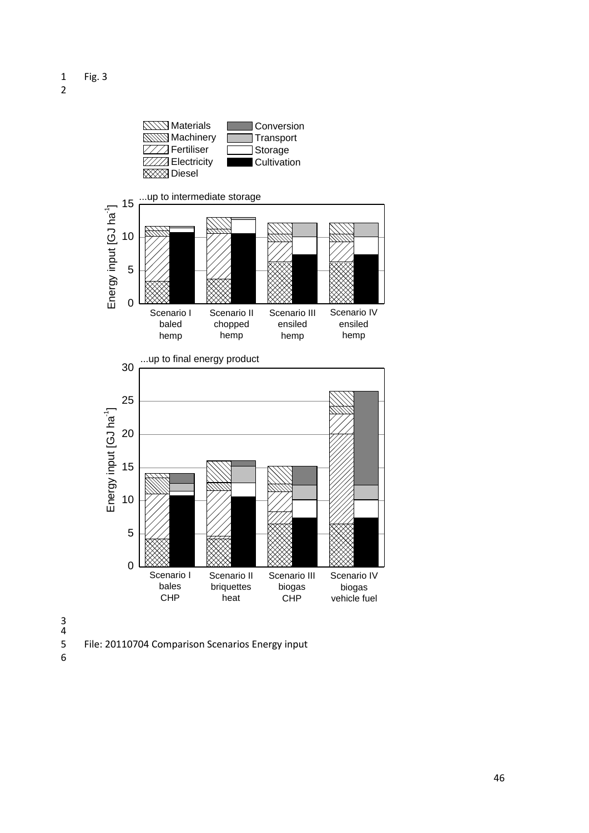

6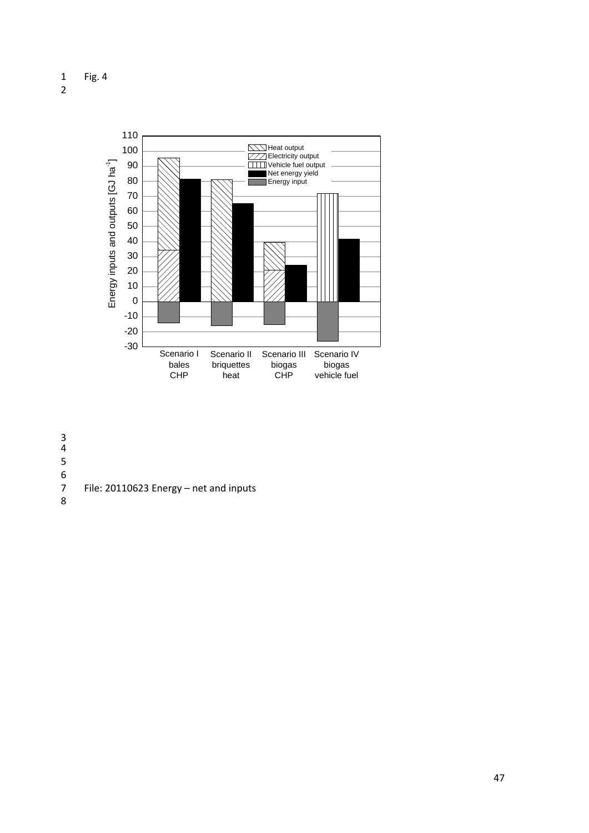1 Fig. 4



3 4

5

 $\begin{array}{c} 6 \\ 7 \end{array}$ 

File: 20110623 Energy - net and inputs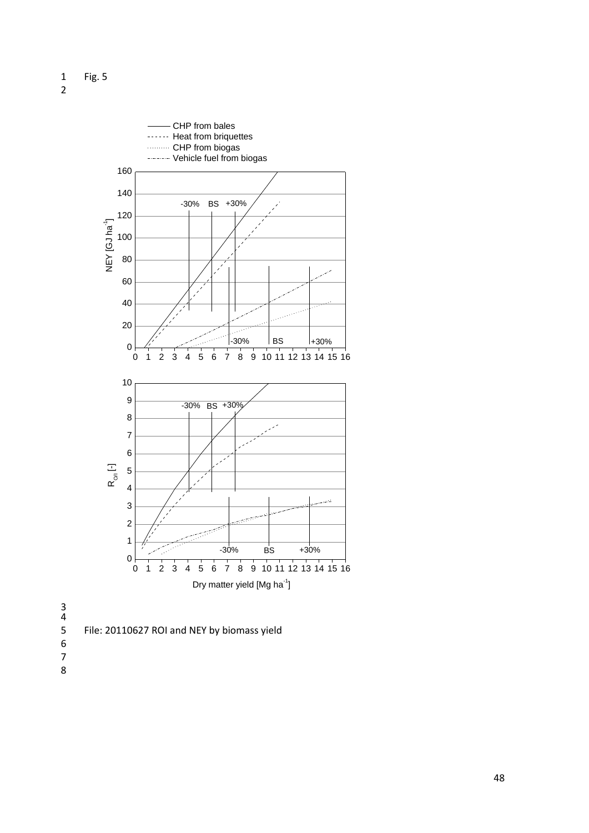Fig. 5



File: 20110627 ROI and NEY by biomass yield

- 
-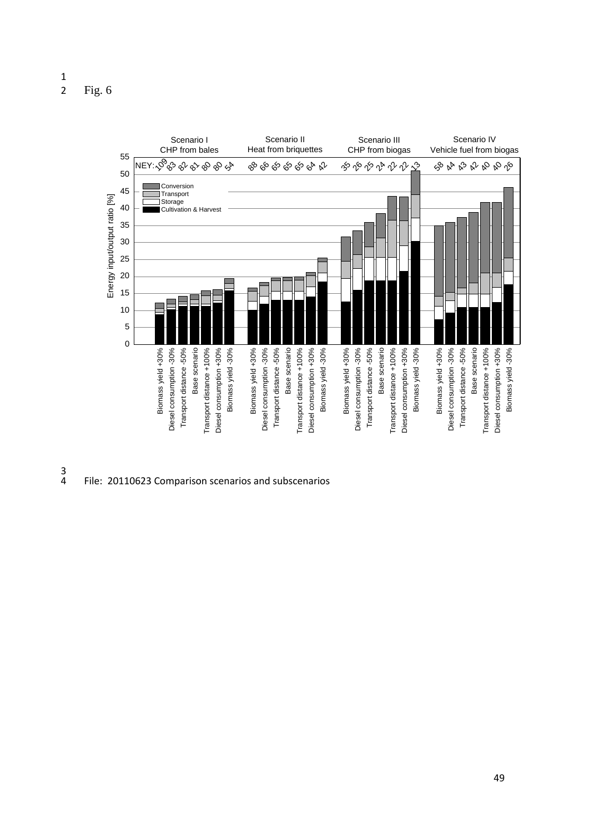2 Fig. 6



3 File: 20110623 Comparison scenarios and subscenarios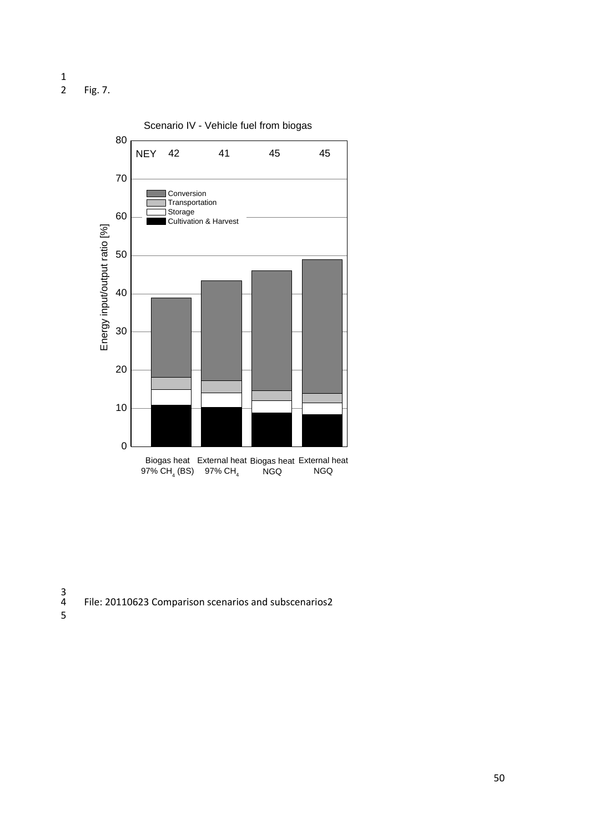- $\frac{1}{2}$
- Fig. 7.